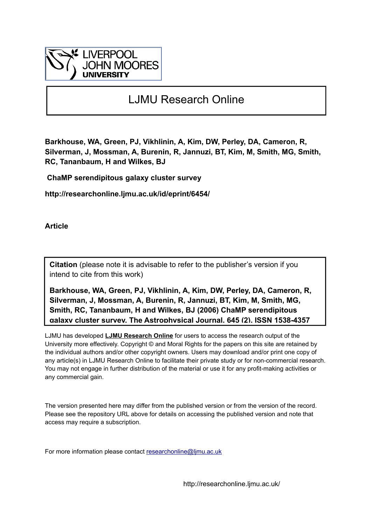

# LJMU Research Online

**Barkhouse, WA, Green, PJ, Vikhlinin, A, Kim, DW, Perley, DA, Cameron, R, Silverman, J, Mossman, A, Burenin, R, Jannuzi, BT, Kim, M, Smith, MG, Smith, RC, Tananbaum, H and Wilkes, BJ**

 **ChaMP serendipitous galaxy cluster survey**

**http://researchonline.ljmu.ac.uk/id/eprint/6454/**

**Article**

**Citation** (please note it is advisable to refer to the publisher's version if you intend to cite from this work)

**Barkhouse, WA, Green, PJ, Vikhlinin, A, Kim, DW, Perley, DA, Cameron, R, Silverman, J, Mossman, A, Burenin, R, Jannuzi, BT, Kim, M, Smith, MG, Smith, RC, Tananbaum, H and Wilkes, BJ (2006) ChaMP serendipitous galaxy cluster survey. The Astrophysical Journal, 645 (2). ISSN 1538-4357** 

LJMU has developed **[LJMU Research Online](http://researchonline.ljmu.ac.uk/)** for users to access the research output of the University more effectively. Copyright © and Moral Rights for the papers on this site are retained by the individual authors and/or other copyright owners. Users may download and/or print one copy of any article(s) in LJMU Research Online to facilitate their private study or for non-commercial research. You may not engage in further distribution of the material or use it for any profit-making activities or any commercial gain.

The version presented here may differ from the published version or from the version of the record. Please see the repository URL above for details on accessing the published version and note that access may require a subscription.

For more information please contact researchonline@limu.ac.uk

http://researchonline.ljmu.ac.uk/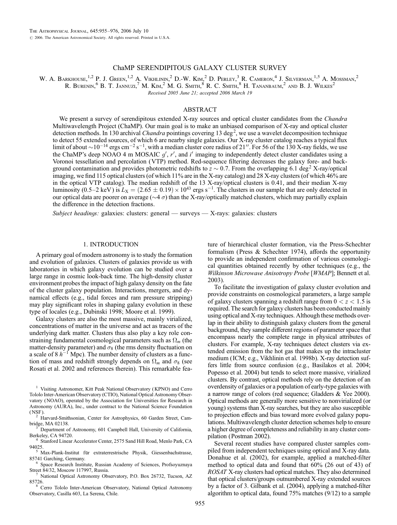# ChaMP SERENDIPITOUS GALAXY CLUSTER SURVEY

W. A. BARKHOUSE,<sup>1,2</sup> P. J. GREEN,<sup>1,2</sup> A. VIKHLININ,<sup>2</sup> D.-W. KIM,<sup>2</sup> D. PERLEY,<sup>3</sup> R. CAMERON,<sup>4</sup> J. SILVERMAN,<sup>1,5</sup> A. MOSSMAN,<sup>2</sup> R. Burenin,  $6$  B. T. Jannuzi, <sup>7</sup> M. Kim, <sup>2</sup> M. G. Smith,  $8$  R. C. Smith,  $8$  H. Tananbaum, <sup>2</sup> and B. J. Wilkes<sup>2</sup>

Received 2005 June 21; accepted 2006 March 19

# ABSTRACT

We present a survey of serendipitous extended X-ray sources and optical cluster candidates from the Chandra Multiwavelength Project (ChaMP). Our main goal is to make an unbiased comparison of X-ray and optical cluster detection methods. In 130 archival Chandra pointings covering 13 deg<sup>2</sup>, we use a wavelet decomposition technique to detect 55 extended sources, of which 6 are nearby single galaxies. Our X-ray cluster catalog reaches a typical flux limit of about  $\sim 10^{-14}$  ergs cm<sup>-2</sup> s<sup>-1</sup>, with a median cluster core radius of 21". For 56 of the 130 X-ray fields, we use the ChaMP's deep NOAO 4 m MOSAIC  $g'$ ,  $r'$ , and  $i'$  imaging to independently detect cluster candidates using a Voronoi tessellation and percolation (VTP) method. Red-sequence filtering decreases the galaxy fore- and background contamination and provides photometric redshifts to  $z \sim 0.7$ . From the overlapping 6.1 deg<sup>2</sup> X-ray/optical imaging, we find 115 optical clusters (of which 11% are in the X-ray catalog) and 28 X-ray clusters (of which 46% are in the optical VTP catalog). The median redshift of the 13 X-ray/optical clusters is 0.41, and their median X-ray luminosity (0.5–2 keV) is  $L_X = (2.65 \pm 0.19) \times 10^{43}$  ergs s<sup>-1</sup>. The clusters in our sample that are only detected in our optical data are poorer on average ( $\sim$ 4  $\sigma$ ) than the X-ray/optically matched clusters, which may partially explain the difference in the detection fractions.

Subject headings: galaxies: clusters: general — surveys — X-rays: galaxies: clusters

# 1. INTRODUCTION

A primary goal of modern astronomy is to study the formation and evolution of galaxies. Clusters of galaxies provide us with laboratories in which galaxy evolution can be studied over a large range in cosmic look-back time. The high-density cluster environment probes the impact of high galaxy density on the fate of the cluster galaxy population. Interactions, mergers, and dynamical effects (e.g., tidal forces and ram pressure stripping) may play significant roles in shaping galaxy evolution in these type of locales (e.g., Dubinski 1998; Moore et al. 1999).

Galaxy clusters are also the most massive, mainly virialized, concentrations of matter in the universe and act as tracers of the underlying dark matter. Clusters thus also play a key role constraining fundamental cosmological parameters such as  $\Omega_m$  (the matter-density parameter) and  $\sigma_8$  (the rms density fluctuation on a scale of 8  $h^{-1}$  Mpc). The number density of clusters as a function of mass and redshift strongly depends on  $\Omega_m$  and  $\sigma_8$  (see Rosati et al. 2002 and references therein). This remarkable feature of hierarchical cluster formation, via the Press-Schechter formalism (Press & Schechter 1974), affords the opportunity to provide an independent confirmation of various cosmological quantities obtained recently by other techniques (e.g., the Wilkinson Microwave Anisotropy Probe [WMAP]; Bennett et al. 2003).

To facilitate the investigation of galaxy cluster evolution and provide constraints on cosmological parameters, a large sample of galaxy clusters spanning a redshift range from  $0 < z < 1.5$  is required. The search for galaxy clusters has been conducted mainly using optical and X-ray techniques. Although these methods overlap in their ability to distinguish galaxy clusters from the general background, they sample different regions of parameter space that encompass nearly the complete range in physical attributes of clusters. For example, X-ray techniques detect clusters via extended emission from the hot gas that makes up the intracluster medium ( ICM; e.g., Vikhlinin et al. 1998b). X-ray detection suffers little from source confusion (e.g., Basilakos et al. 2004; Popesso et al. 2004) but tends to select more massive, virialized clusters. By contrast, optical methods rely on the detection of an overdensity of galaxies or a population of early-type galaxies with a narrow range of colors (red sequence; Gladders & Yee 2000). Optical methods are generally more sensitive to nonvirialized (or young) systems than X-ray searches, but they are also susceptible to projection effects and bias toward more evolved galaxy populations. Multiwavelength cluster detection schemes help to ensure a higher degree of completeness and reliability in any cluster compilation (Postman 2002).

Several recent studies have compared cluster samples compiled from independent techniques using optical and X-ray data. Donahue et al. (2002), for example, applied a matched-filter method to optical data and found that 60% (26 out of 43) of ROSAT X-ray clusters had optical matches. They also determined that optical clusters/groups outnumbered X-ray extended sources by a factor of 3. Gilbank et al. (2004), applying a matched-filter algorithm to optical data, found 75% matches (9/12) to a sample

<sup>&</sup>lt;sup>1</sup> Visiting Astronomer, Kitt Peak National Observatory (KPNO) and Cerro Tololo Inter-American Observatory (CTIO), National Optical Astronomy Observatory ( NOAO), operated by the Association for Universities for Research in Astronomy (AURA), Inc., under contract to the National Science Foundation

<sup>(</sup>NSF).<br><sup>2</sup> Harvard-Smithsonian, Center for Astrophysics, 60 Garden Street, Cam-<br>bridge, MA 02138.

Department of Astronomy, 601 Campbell Hall, University of California, Berkeley, CA 94720. <sup>4</sup> Stanford Linear Accelerator Center, 2575 Sand Hill Road, Menlo Park, CA

<sup>94025.&</sup>lt;br><sup>5</sup> Max-Plank-Institut für extraterrestrische Physik, Giessenbachstrasse, 85741 Garching, Germany.

<sup>&</sup>lt;sup>6</sup> Space Research Institute, Russian Academy of Sciences, Profsoyuznaya Street 84/32, Moscow 117997, Russia.

National Optical Astronomy Observatory, P.O. Box 26732, Tucson, AZ 85726. <sup>8</sup> Cerro Tololo Inter-American Observatory, National Optical Astronomy

Observatory, Casilla 603, La Serena, Chile.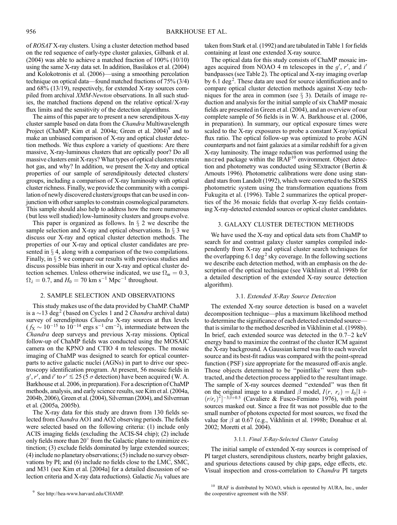of ROSAT X-ray clusters. Using a cluster detection method based on the red sequence of early-type cluster galaxies, Gilbank et al. (2004) was able to achieve a matched fraction of 100% (10/10) using the same X-ray data set. In addition, Basilakos et al. (2004) and Kolokotronis et al. (2006)—using a smoothing percolation technique on optical data—found matched fractions of 75% (3/4) and 68% (13/19), respectively, for extended X-ray sources compiled from archival XMM-Newton observations. In all such studies, the matched fractions depend on the relative optical/X-ray flux limits and the sensitivity of the detection algorithms.

The aims of this paper are to present a new serendipitous X-ray cluster sample based on data from the *Chandra* Multiwavelength Project (ChaMP; Kim et al. 2004a; Green et al.  $2004$ )<sup>9</sup> and to make an unbiased comparison of X-ray and optical cluster detection methods. We thus explore a variety of questions: Are there massive, X-ray-luminous clusters that are optically poor? Do all massive clusters emit X-rays? What types of optical clusters retain hot gas, and why? In addition, we present the X-ray and optical properties of our sample of serendipitously detected clusters/ groups, including a comparison of X-ray luminosity with optical cluster richness. Finally, we provide the community with a compilation of newly discovered clusters/groups that can be used in conjunction with other samples to constrain cosmological parameters. This sample should also help to address how the more numerous (but less well studied) low-luminosity clusters and groups evolve.

This paper is organized as follows. In  $\S$  2 we describe the sample selection and X-ray and optical observations. In  $\S$  3 we discuss our X-ray and optical cluster detection methods. The properties of our X-ray and optical cluster candidates are presented in  $\S 4$ , along with a comparison of the two compilations. Finally, in  $\S$  5 we compare our results with previous studies and discuss possible bias inherit in our X-ray and optical cluster detection schemes. Unless otherwise indicated, we use  $\Omega_m = 0.3$ ,  $\Omega_{\lambda} = 0.7$ , and  $H_0 = 70$  km s<sup>-1</sup> Mpc<sup>-1</sup> throughout.

# 2. SAMPLE SELECTION AND OBSERVATIONS

This study makes use of the data provided by ChaMP. ChaMP is a  $\sim$ 13 deg<sup>2</sup> (based on Cycles 1 and 2 *Chandra* archival data) survey of serendipitous Chandra X-ray sources at flux levels  $(f_{\text{X}} \sim 10^{-15} \text{ to } 10^{-14} \text{ ergs s}^{-1} \text{ cm}^{-2})$ , intermediate between the Chandra deep surveys and previous X-ray missions. Optical follow-up of ChaMP fields was conducted using the MOSAIC camera on the KPNO and CTIO 4 m telescopes. The mosaic imaging of ChaMP was designed to search for optical counterparts to active galactic nuclei (AGNs) in part to drive our spectroscopy identification program. At present, 56 mosaic fields in  $g', r'$ , and i' to  $r' \lesssim 25$  (5  $\sigma$  detection) have been acquired (W. A. Barkhouse et al. 2006, in preparation). For a description of ChaMP methods, analysis, and early science results, see Kim et al. (2004a, 2004b, 2006), Green et al. (2004), Silverman (2004), and Silverman et al. (2005a, 2005b).

The X-ray data for this study are drawn from 130 fields selected from Chandra AO1 and AO2 observing periods. The fields were selected based on the following criteria: (1) include only ACIS imaging fields (excluding the ACIS-S4 chip); (2) include only fields more than  $20^{\circ}$  from the Galactic plane to minimize extinction; (3) exclude fields dominated by large extended sources; (4) include no planetary observations; (5) include no survey observations by PI; and (6) include no fields close to the LMC, SMC, and M31 (see Kim et al. [2004a] for a detailed discussion of selection criteria and X-ray data reductions). Galactic  $N_H$  values are

<sup>9</sup> See http://hea-www.harvard.edu/CHAMP.

taken from Stark et al. (1992) and are tabulated in Table 1 for fields containing at least one extended X-ray source.

The optical data for this study consists of ChaMP mosaic images acquired from NOAO 4 m telescopes in the  $g'$ ,  $r'$ , and  $i'$ bandpasses (see Table 2). The optical and X-ray imaging overlap by 6.1 deg<sup>2</sup>. These data are used for source identification and to compare optical cluster detection methods against X-ray techniques for the area in common (see  $\S$  3). Details of image reduction and analysis for the initial sample of six ChaMP mosaic fields are presented in Green et al. (2004), and an overview of our complete sample of 56 fields is in W. A. Barkhouse et al. (2006, in preparation). In summary, our optical exposure times were scaled to the X-ray exposures to probe a constant X-ray/optical flux ratio. The optical follow-up was optimized to probe AGN counterparts and not faint galaxies at a similar redshift for a given X-ray luminosity. The image reduction was performed using the mscred package within the  $IRAF<sup>10</sup>$  environment. Object detection and photometry was conducted using SExtractor (Bertin & Arnouts 1996). Photometric calibrations were done using standard stars from Landolt (1992), which were converted to the SDSS photometric system using the transformation equations from Fukugita et al. (1996). Table 2 summarizes the optical properties of the 36 mosaic fields that overlap X-ray fields containing X-ray-detected extended sources or optical cluster candidates.

# 3. GALAXY CLUSTER DETECTION METHODS

We have used the X-ray and optical data sets from ChaMP to search for and contrast galaxy cluster samples compiled independently from X-ray and optical cluster search techniques for the overlapping 6.1 deg<sup>2</sup> sky coverage. In the following sections we describe each detection method, with an emphasis on the description of the optical technique (see Vikhlinin et al. 1998b for a detailed description of the extended X-ray source detection algorithm).

# 3.1. Extended X-Ray Source Detection

The extended X-ray source detection is based on a wavelet decomposition technique—plus a maximum likelihood method to determine the significance of each detected extended source that is similar to the method described in Vikhlinin et al. (1998b). In brief, each extended source was detected in the 0.7–2 keV energy band to maximize the contrast of the cluster ICM against the X-ray background. A Gaussian kernel was fit to each wavelet source and its best-fit radius was compared with the point-spread function (PSF) size appropriate for the measured off-axis angle. Those objects determined to be ''pointlike'' were then subtracted, and the detection process applied to the resultant image. The sample of X-ray sources deemed ''extended'' was then fit on the original image to a standard  $\beta$  model,  $I(r, r_c) = I_0[1 +$  $(r/r_c)^2$ ]<sup>-3 $\beta$ +0.5 (Cavaliere & Fusco-Femiano 1976), with point</sup> sources masked out. Since a free fit was not possible due to the small number of photons expected for most sources, we fixed the value for  $\beta$  at 0.67 (e.g., Vikhlinin et al. 1998b; Donahue et al. 2002; Moretti et al. 2004).

#### 3.1.1. Final X-Ray-Selected Cluster Catalog

The initial sample of extended X-ray sources is comprised of PI target clusters, serendipitous clusters, nearby bright galaxies, and spurious detections caused by chip gaps, edge effects, etc. Visual inspection and cross-correlation to Chandra PI targets

<sup>&</sup>lt;sup>10</sup> IRAF is distributed by NOAO, which is operated by AURA, Inc., under the cooperative agreement with the NSF.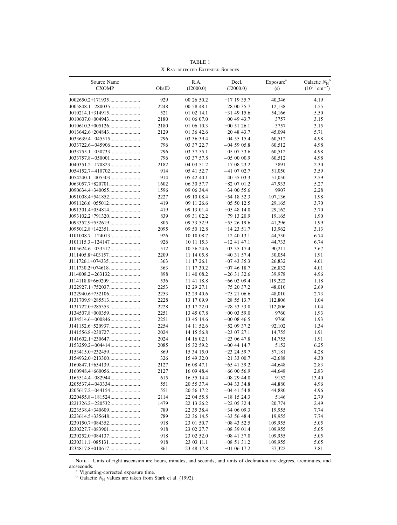| Source Name<br><b>CXOMP</b> | ObsID | R.A.<br>(J2000.0) | Decl.<br>(J2000.0) | Exposure <sup>a</sup> | Galactic $N_H^{\ b}$<br>$(10^{20}$ cm <sup>-2</sup> ) |
|-----------------------------|-------|-------------------|--------------------|-----------------------|-------------------------------------------------------|
|                             |       |                   |                    | (s)                   |                                                       |
|                             | 929   | 00 26 50.2        | $+17$ 19 35.7      | 40,346                | 4.19                                                  |
|                             | 2248  | 00 58 48.1        | $-280035.7$        | 12,138                | 1.55                                                  |
|                             | 521   | 01 02 14.1        | $+31$ 49 15.6      | 54,166                | 5.50                                                  |
|                             | 2180  | 01 06 07.0        | $+00$ 49 43.7      | 3757                  | 3.15                                                  |
|                             | 2180  | 01 06 10.3        | $+00$ 51 26.1      | 3757                  | 3.15                                                  |
|                             | 2129  | 01 36 42.6        | $+20$ 48 43.7      | 45,094                | 5.71                                                  |
|                             | 796   | 03 36 39.4        | $-04$ 55 15.4      | 60,512                | 4.98                                                  |
|                             | 796   | 03 37 22.7        | $-04$ 59 05.8      | 60,512                | 4.98                                                  |
|                             | 796   | 03 37 55.1        | $-050733.6$        | 60,512                | 4.98                                                  |
|                             | 796   | 03 37 57.8        | $-050000.9$        | 60,512                | 4.98                                                  |
|                             | 2182  | 04 03 51.2        | $-170823.2$        | 3891                  | 2.30                                                  |
|                             | 914   | 05 41 52.7        | $-41$ 07 02.7      | 51,050                | 3.59                                                  |
|                             | 914   | 05 42 40.1        | $-40\,55\,03.3$    | 51,050                | 3.59                                                  |
|                             | 1602  | 06 30 57.7        | $+82$ 07 01.2      | 47,933                | 5.27                                                  |
|                             | 1596  | 09 06 34.4        | $+340055.6$        | 9907                  | 2.28                                                  |
|                             | 2227  | 09 10 08.4        | $+54$ 18 52.3      | 107,136               | 1.98                                                  |
|                             | 419   | 09 11 26.6        | $+055012.5$        | 29,165                | 3.70                                                  |
|                             | 419   | 09 13 01.4        | $+05$ 48 14.0      | 29,162                | 3.70                                                  |
|                             | 839   | 09 31 02.2        | $+79$ 13 20.9      | 19,165                | 1.90                                                  |
|                             | 805   | 09 33 52.9        | $+552619.6$        | 41,296                | 1.99                                                  |
|                             | 2095  | 09 50 12.8        | $+142351.7$        | 13,962                | 3.13                                                  |
|                             | 926   | 10 10 08.7        | $-12$ 40 13.1      | 44,730                | 6.74                                                  |
|                             | 926   | 10 11 15.3        | $-12$ 41 47.1      | 44,733                | 6.74                                                  |
|                             | 512   | 10 56 24.6        | $-033517.4$        | 90.211                | 3.67                                                  |
|                             | 2209  | 11 14 05.8        | $+40$ 31 57.4      | 30,054                | 1.91                                                  |
|                             | 363   | 11 17 26.1        | $+07$ 43 35.3      | 26,832                | 4.01                                                  |
|                             | 363   | 11 17 30.2        | $+074618.7$        | 26,832                | 4.01                                                  |
|                             | 898   | 11 40 08.2        | $-263132.6$        | 39,978                | 4.96                                                  |
|                             | 536   | 11 41 18.8        | $+66$ 02 09.4      | 119,222               | 1.18                                                  |
|                             | 2253  | 12 29 27.1        | $+752037.2$        | 48,010                | 2.69                                                  |
|                             | 2253  | 12 29 40.6        | $+75$ 21 06.6      | 48,010                | 2.73                                                  |
|                             | 2228  | 13 17 09.9        | $+28$ 55 13.7      | 112,806               | 1.04                                                  |
| $J131722.0+285353$          | 2228  | 13 17 22.0        | $+285353.0$        | 112,806               | 1.04                                                  |
|                             | 2251  | 13 45 07.8        | $+00$ 03 59.0      | 9760                  | 1.93                                                  |
|                             | 2251  | 13 45 14.6        | $-0000846.5$       | 9760                  | 1.93                                                  |
|                             | 2254  | 14 11 52.6        | $+52$ 09 37.2      | 92,102                | 1.34                                                  |
|                             | 2024  | 14 15 56.8        | $+23$ 07 27.1      | 14,755                | 1.91                                                  |
|                             | 2024  | 14 16 02.1        | $+230647.8$        | 14,755                | 1.91                                                  |
|                             | 2085  | 15 32 59.2        | $-00$ 44 14.7      | 5152                  | 6.25                                                  |
|                             | 869   | 15 34 15.0        | $+23$ 24 59.7      | 57,181                | 4.28                                                  |
|                             | 326   | 15 49 32.0        | $+21$ 33 00.7      | 42,688                | 4.30                                                  |
|                             | 2127  | 16 08 47.1        | $+65$ 41 39.2      | 44,648                | 2.83                                                  |
|                             | 2127  | 16 09 48.4        | $+660056.9$        | 44,648                | 2.83                                                  |
| J165514.4-082944            | 615   | 16 55 14.4        | $-082944.0$        | 9152                  | 13.40                                                 |
|                             | 551   | 20 55 37.4        | $-043334.8$        | 44,880                | 4.96                                                  |
|                             | 551   | 20 56 17.2        | $-04$ 41 54.8      | 44,880                | 4.96                                                  |
| J220455.8-181524            | 2114  | 22 04 55.8        | $-18$ 15 24.3      | 5146                  | 2.79                                                  |
|                             | 1479  | 22 13 26.2        | $-220532.4$        | 20,774                | 2.49                                                  |
|                             | 789   | 22 35 38.4        | $+340609.3$        | 19,955                | 7.74                                                  |
|                             | 789   | 22 36 14.5        | $+33$ 56 48.4      | 19,955                | 7.74                                                  |
|                             |       |                   |                    |                       |                                                       |
|                             | 918   | 23 01 50.7        | $+08$ 43 52.5      | 109,955               | 5.05                                                  |
|                             | 918   | 23 02 27.7        | $+08$ 39 01.4      | 109,955               | 5.05                                                  |
|                             | 918   | 23 02 52.0        | $+08$ 41 37.0      | 109,955               | 5.05                                                  |
|                             | 918   | 23 03 11.1        | $+085131.2$        | 109,955               | 5.05                                                  |
|                             | 861   | 23 48 17.8        | $+01$ 06 17.2      | 37,322                | 3.81                                                  |

TABLE 1 X-Ray-detected Extended Sources

Nore.—Units of right ascension are hours, minutes, and seconds, and units of declination are degrees, arcminutes, and arcseconds. a Vignetting-corrected exposure time.<br>b Galactic  $N_{\rm H}$  values are taken from Stark et al. (1992).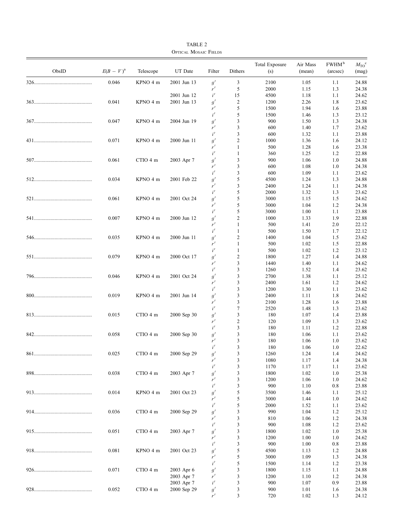| ObsID | $E(B-V)^{a}$ | Telescope | UT Date     | Filter | Dithers        | <b>Total Exposure</b><br>(s) | Air Mass<br>(mean) | FWHM <sup>b</sup><br>(arcsec) | $M_{\rm TO}^{\rm c}$<br>(mag) |
|-------|--------------|-----------|-------------|--------|----------------|------------------------------|--------------------|-------------------------------|-------------------------------|
|       | 0.046        | KPNO 4 m  | 2001 Jun 13 | g'     | 3              | 2100                         | 1.05               | 1.1                           | 24.88                         |
|       |              |           |             | r'     | 5              | 2000                         | 1.15               | 1.3                           | 24.38                         |
|       |              |           | 2001 Jun 12 | i'     | 15             | 4500                         | 1.18               | 1.1                           | 24.62                         |
|       | 0.041        | KPNO 4 m  | 2001 Jun 13 | g'     | 2              | 1200                         | 2.26               | 1.8                           | 23.62                         |
|       |              |           |             | r'     | 5              | 1500                         | 1.94               | 1.6                           | 23.88                         |
|       |              |           |             | i'     | 5              | 1500                         | 1.46               | 1.3                           | 23.12                         |
|       | 0.047        | KPNO 4 m  | 2004 Jun 19 | g'     | 3              | 900                          | 1.50               | 1.3                           | 24.38                         |
|       |              |           |             | r'     | 3              | 600                          | 1.40               | 1.7                           | 23.62                         |
|       |              |           |             | i'     | 3              | 600                          | 1.32               | 1.1                           | 23.88                         |
|       | 0.071        | KPNO 4 m  | 2000 Jun 11 | g'     | $\overline{c}$ | 1000                         | 1.36               | 1.6                           | 24.12                         |
|       |              |           |             | r'     | 1              | 500                          | 1.28               | 1.6                           | 23.38                         |
|       |              |           |             | i'     | 1              | 360                          | 1.25               | 1.2                           | 22.88                         |
|       | 0.061        | CTIO 4 m  | 2003 Apr 7  | g'     | 3              | 900                          | 1.06               | 1.0                           | 24.88                         |
|       |              |           |             | r'     | 3              | 600                          | 1.08               | 1.0                           | 24.38                         |
|       |              |           |             | i'     | 3              | 600                          | 1.09               | 1.1                           | 23.62                         |
|       | 0.034        | KPNO 4 m  | 2001 Feb 22 | g'     | 5              | 4500                         | 1.24               | 1.3                           | 24.88                         |
|       |              |           |             | r'     | 3              | 2400                         | 1.24               | 1.1                           | 24.38                         |
|       |              |           |             | i'     | 5              | 2000                         | 1.32               | 1.3                           | 23.62                         |
|       | 0.061        | KPNO 4 m  | 2001 Oct 24 | g'     | 5              | 3000                         | 1.15               | 1.5                           | 24.62                         |
|       |              |           |             | r'     | 5              | 3000                         | 1.04               | 1.2                           | 24.38                         |
|       |              |           |             | i'     | 5              | 3000                         | 1.00               | 1.1                           | 23.88                         |
|       | 0.007        | KPNO 4 m  | 2000 Jun 12 | g'     | $\overline{c}$ | 1000                         | 1.33               | 1.9                           | 22.88                         |
|       |              |           |             | r'     | 1              | 500                          | 1.41               | 2.0                           | 22.12                         |
|       |              |           |             | i'     | $\mathbf{1}$   | 500                          | 1.50               |                               | 22.12                         |
|       | 0.035        | KPNO 4 m  | 2000 Jun 11 |        | $\overline{c}$ |                              |                    | 1.7                           |                               |
|       |              |           |             | g'     |                | 1400                         | 1.04               | 1.5                           | 23.62                         |
|       |              |           |             | r'     | 1              | 500                          | 1.02               | 1.5                           | 22.88                         |
|       |              |           |             | i'     | 1              | 500                          | 1.02               | 1.2                           | 23.12                         |
|       | 0.079        | KPNO 4 m  | 2000 Oct 17 | g'     | $\overline{c}$ | 1800                         | 1.27               | 1.4                           | 24.88                         |
|       |              |           |             | r'     | 3              | 1440                         | 1.40               | 1.1                           | 24.62                         |
|       |              |           |             | i'     | 3              | 1260                         | 1.52               | 1.4                           | 23.62                         |
|       | 0.046        | KPNO 4 m  | 2001 Oct 24 | g'     | 3              | 2700                         | 1.38               | 1.1                           | 25.12                         |
|       |              |           |             | r'     | 3              | 2400                         | 1.61               | 1.2                           | 24.62                         |
|       |              |           |             | i'     | 3              | 1200                         | 1.30               | 1.1                           | 23.62                         |
|       | 0.019        | KPNO 4 m  | 2001 Jun 14 | g'     | 3              | 2400                         | 1.11               | 1.8                           | 24.62                         |
|       |              |           |             | r'     | 3              | 2100                         | 1.28               | 1.6                           | 23.88                         |
|       |              |           |             | i'     | 7              | 2520                         | 1.48               | 1.3                           | 23.62                         |
|       | 0.015        | CTIO 4 m  | 2000 Sep 30 | g'     | 3              | 180                          | 1.07               | 1.4                           | 23.88                         |
|       |              |           |             | r'     | 2              | 120                          | 1.09               | 1.3                           | 23.62                         |
|       |              |           |             | i'     | 3              | 180                          | 1.11               | 1.2                           | 22.88                         |
|       | 0.058        | CTIO 4 m  | 2000 Sep 30 | g'     | 3              | 180                          | 1.06               | 1.1                           | 23.62                         |
|       |              |           |             | r'     | 3              | 180                          | 1.06               | 1.0                           | 23.62                         |
|       |              |           |             | i'     | 3              | $180\,$                      | 1.06               | $1.0\,$                       | 22.62                         |
|       | 0.025        | CTIO 4 m  | 2000 Sep 29 | g'     | 3              | 1260                         | 1.24               | 1.4                           | 24.62                         |
|       |              |           |             | r'     | 3              | 1080                         | 1.17               | 1.4                           | 24.38                         |
|       |              |           |             | i'     | 3              | 1170                         | 1.17               | 1.1                           | 23.62                         |
|       | 0.038        | CTIO 4 m  | 2003 Apr 7  | g'     | 3              | 1800                         | 1.02               | 1.0                           | 25.38                         |
|       |              |           |             | r'     | 3              | 1200                         | 1.06               | 1.0                           | 24.62                         |
|       |              |           |             | i'     | 3              | 900                          | 1.10               | $0.8\,$                       | 23.88                         |
|       | 0.014        | KPNO 4 m  | 2001 Oct 23 | g'     | 5              | 3500                         | 1.46               | 1.1                           | 25.12                         |
|       |              |           |             | r'     | 5              | 3000                         |                    |                               | 24.62                         |
|       |              |           |             | i'     |                |                              | 1.44               | 1.0                           |                               |
|       |              |           |             |        | 5              | 2000                         | 1.52               | 1.1                           | 23.62                         |
|       | 0.036        | CTIO 4 m  | 2000 Sep 29 | g'     | 3              | 990                          | 1.04               | 1.2                           | 25.12                         |
|       |              |           |             | r'     | 3              | 810                          | 1.06               | 1.2                           | 24.38                         |
|       |              |           |             | i'     | 3              | 900                          | 1.08               | 1.2                           | 23.62                         |
|       | 0.051        | CTIO 4 m  | 2003 Apr 7  | g'     | 3              | 1800                         | 1.02               | 1.0                           | 25.38                         |
|       |              |           |             | r'     | 3              | 1200                         | 1.00               | 1.0                           | 24.62                         |
|       |              |           |             | i'     | 3              | 900                          | 1.00               | $0.8\,$                       | 23.88                         |
|       | 0.081        | KPNO 4 m  | 2001 Oct 23 | g'     | 5              | 4500                         | 1.13               | 1.2                           | 24.88                         |
|       |              |           |             | r'     | 5              | 3000                         | 1.09               | 1.3                           | 24.38                         |
|       |              |           |             | i'     | 5              | 1500                         | 1.14               | 1.2                           | 23.38                         |
|       | 0.071        | CTIO 4 m  | 2003 Apr 6  | g'     | 3              | 1800                         | 1.15               | 1.1                           | 24.88                         |
|       |              |           | 2003 Apr 7  | r'     | 3              | 1200                         | 1.10               | 1.2                           | 24.38                         |
|       |              |           | 2003 Apr 7  | i'     | 3              | 900                          | 1.07               | 0.9                           | 23.88                         |
|       | 0.052        | CTIO 4 m  | 2000 Sep 29 | g'     | 3              | 900                          | 1.01               | 1.6                           | 24.38                         |
|       |              |           |             | r'     | 3              | 720                          | 1.02               | 1.3                           | 24.12                         |

TABLE 2 Optical Mosaic Fields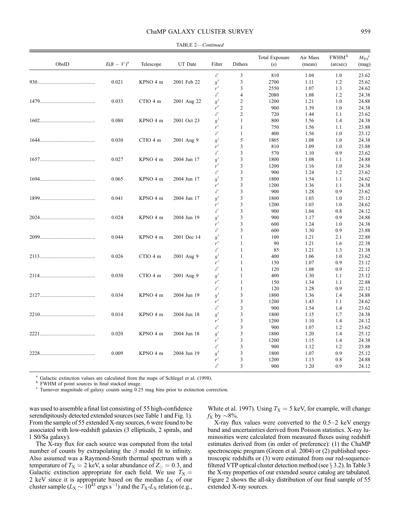# ChaMP GALAXY CLUSTER SURVEY 959

| ObsID | $E(B-V)^{a}$ | Telescope | UT Date     | Filter     | Dithers        | <b>Total Exposure</b><br>(s) | Air Mass<br>(mean) | FWHM <sup>b</sup><br>(arcsec) | $M_{\rm TO}$ <sup>c</sup><br>(mag) |
|-------|--------------|-----------|-------------|------------|----------------|------------------------------|--------------------|-------------------------------|------------------------------------|
|       |              |           |             | $i^\prime$ | $\mathfrak{Z}$ | 810                          | 1.04               | 1.0                           | 23.62                              |
|       | 0.021        | KPNO 4 m  | 2001 Feb 22 | g'         | 3              | 2700                         | 1.11               | 1.2                           | 25.62                              |
|       |              |           |             | r'         | 3              | 2550                         | 1.07               | 1.3                           | 24.62                              |
|       |              |           |             | i'         | $\overline{4}$ | 2080                         | 1.08               | 1.2                           | 24.38                              |
|       | 0.033        | CTIO 4 m  | 2001 Aug 22 | g'         | $\mathfrak{2}$ | 1200                         | 1.21               | 1.0                           | 24.88                              |
|       |              |           |             | r'         | $\overline{c}$ | 900                          | 1.39               | 1.0                           | 24.38                              |
|       |              |           |             | i'         | $\overline{c}$ | 720                          | 1.44               | 1.1                           | 23.62                              |
|       | 0.080        | KPNO 4 m  | 2001 Oct 23 | g'         | $\mathbf{1}$   | 800                          | 1.56               | 1.4                           | 24.38                              |
|       |              |           |             | r'         | $\mathbf{1}$   | 750                          | 1.56               | 1.1                           | 23.88                              |
|       |              |           |             | i'         | $\mathbf{1}$   | 400                          | 1.56               | 1.0                           | 23.12                              |
|       | 0.030        | CTIO 4 m  | 2001 Aug 9  | g'         | 5              | 1805                         | 1.08               | 1.0                           | 24.38                              |
|       |              |           |             | r'         | 3              | 810                          | 1.09               | 1.0                           | 23.88                              |
|       |              |           |             | i'         | 3              | 570                          | 1.10               | 0.9                           | 23.62                              |
|       | 0.027        | KPNO 4 m  | 2004 Jun 17 | g'         | 3              | 1800                         | 1.08               | 1.1                           | 24.88                              |
|       |              |           |             | r'         | 3              | 1200                         | 1.16               | 1.0                           | 24.38                              |
|       |              |           |             | i'         | 3              | 900                          | 1.24               | 1.2                           | 23.62                              |
|       | 0.065        | KPNO 4 m  | 2004 Jun 17 | g'         | 3              | 1800                         | 1.54               | 1.1                           | 24.62                              |
|       |              |           |             | r'         | 3              | 1200                         | 1.36               | 1.1                           | 24.38                              |
|       |              |           |             | i'         | 3              | 900                          | 1.28               | 0.9                           | 23.62                              |
|       | 0.041        | KPNO 4 m  | 2004 Jun 17 | g'         | 3              | 1800                         | 1.03               | 1.0                           | 25.12                              |
|       |              |           |             | r'         | 3              | 1200                         | 1.03               | 1.0                           | 24.62                              |
|       |              |           |             | i'         | 3              | 900                          | 1.04               | 0.8                           | 24.12                              |
|       | 0.024        | KPNO 4 m  | 2004 Jun 19 | g'         | 3              | 900                          | 1.17               | 0.9                           | 24.88                              |
|       |              |           |             | r'         | 3              | 600                          | 1.24               | 1.0                           | 24.38                              |
|       |              |           |             | i'         | 3              | 600                          | 1.30               | 0.9                           | 23.88                              |
|       | 0.044        | KPNO 4 m  | 2001 Dec 14 | g'         | $\mathbf{1}$   | 100                          | 1.21               | 2.1                           | 22.88                              |
|       |              |           |             | r'         | $\mathbf{1}$   | 90                           | 1.21               | 1.6                           | 22.38                              |
|       |              |           |             | i'         | 1              | 85                           | 1.21               | 1.3                           | 21.38                              |
|       | 0.026        | CTIO 4 m  | 2001 Aug 9  | g'         | $\mathbf{1}$   | 400                          | 1.06               | 1.0                           | 23.62                              |
|       |              |           |             | r'         | 1              | 150                          | 1.07               | 0.9                           | 23.12                              |
|       |              |           |             | i'         | $\mathbf{1}$   | 120                          | 1.08               | 0.9                           | 22.12                              |
|       | 0.030        | CTIO 4 m  | 2001 Aug 9  | g'         | 1              | 400                          | 1.30               | 1.1                           | 23.12                              |
|       |              |           |             | r'         | $\mathbf{1}$   | 150                          | 1.34               | 1.1                           | 22.88                              |
|       |              |           |             | i'         | $\mathbf{1}$   | 120                          | 1.28               | 0.9                           | 22.12                              |
|       | 0.034        | KPNO 4 m  | 2004 Jun 19 | g'         | $\mathfrak{Z}$ | 1800                         | 1.36               | 1.4                           | 24.88                              |
|       |              |           |             | r'         | 3              | 1200                         | 1.43               | 1.1                           | 24.62                              |
|       |              |           |             | i'         | 3              | 900                          | 1.54               | 1.4                           | 23.62                              |
|       | 0.014        | KPNO 4 m  | 2004 Jun 18 | g'         | 3              | 1800                         | 1.15               | 1.7                           | 24.38                              |
|       |              |           |             | r'         | 3              | 1200                         | 1.10               | 1.4                           | 24.12                              |
|       |              |           |             | i'         | 3              | 900                          | 1.07               | 1.2                           | 23.62                              |
|       | 0.020        | KPNO 4 m  | 2004 Jun 18 | g'         | $\mathfrak{Z}$ | 1800                         | 1.20               | 1.4                           | 25.12                              |
|       |              |           |             | r'         | 3              | 1200                         | 1.15               | 1.4                           | 24.38                              |
|       |              |           |             | i'         | 3              | 900                          | 1.12               | 1.2                           | 23.88                              |
|       | 0.009        | KPNO 4 m  | 2004 Jun 19 | g'         | 3              | 1800                         | 1.07               | 0.9                           | 25.12                              |
|       |              |           |             | r'         | 3              | 1200                         | 1.13               | 0.8                           | 24.88                              |
|       |              |           |             | i'         | 3              | 900                          | 1.20               | 0.9                           | 24.12                              |
|       |              |           |             |            |                |                              |                    |                               |                                    |

TABLE 2—Continued

<sup>a</sup> Galactic extinction values are calculated from the maps of Schlegel et al. (1998). <br><sup>b</sup> FWHM of point sources in final stacked image. c Turnover magnitude of galaxy counts using 0.25 mag bins prior to extinction corre

was used to assemble a final list consisting of 55 high-confidence serendipitously detected extended sources (see Table 1 and Fig. 1). From the sample of 55 extended X-ray sources, 6 were found to be associated with low-redshift galaxies (3 ellipticals, 2 spirals, and 1 S0/Sa galaxy).

The X-ray flux for each source was computed from the total number of counts by extrapolating the  $\beta$  model fit to infinity. Also assumed was a Raymond-Smith thermal spectrum with a temperature of  $T_X = 2$  keV, a solar abundance of  $Z_{\odot} = 0.3$ , and Galactic extinction appropriate for each field. We use  $T_X =$ 2 keV since it is appropriate based on the median  $L_X$  of our cluster sample ( $L_{\rm X} \sim 10^{43}$  ergs s<sup>-1</sup>) and the  $T_{\rm X}$ - $L_{\rm X}$  relation (e.g.,

White et al. 1997). Using  $T_X = 5$  keV, for example, will change  $f_X$  by  $\sim$ 8%.

X-ray flux values were converted to the 0.5–2 keV energy band and uncertainties derived from Poisson statistics. X-ray luminosities were calculated from measured fluxes using redshift estimates derived from (in order of preference): (1) the ChaMP spectroscopic program (Green et al. 2004) or (2) published spectroscopic redshifts or (3) were estimated from our red-sequencefiltered VTP optical cluster detection method (see  $\S 3.2$ ). In Table 3 the X-ray properties of our extended source catalog are tabulated. Figure 2 shows the all-sky distribution of our final sample of 55 extended X-ray sources.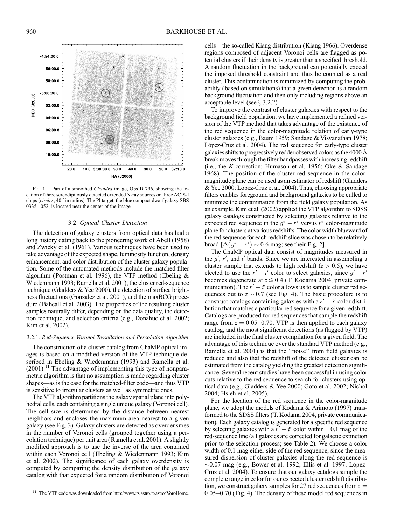

FIG. 1.-Part of a smoothed Chandra image, ObsID 796, showing the location of three serendipitously detected extended X-ray sources on three ACIS-I chips (circles; 40" in radius). The PI target, the blue compact dwarf galaxy SBS 0335-052, is located near the center of the image.

# 3.2. Optical Cluster Detection

The detection of galaxy clusters from optical data has had a long history dating back to the pioneering work of Abell (1958) and Zwicky et al. (1961). Various techniques have been used to take advantage of the expected shape, luminosity function, density enhancement, and color distribution of the cluster galaxy population. Some of the automated methods include the matched-filter algorithm (Postman et al. 1996), the VTP method (Ebeling & Wiedenmann 1993; Ramella et al. 2001), the cluster red-sequence technique (Gladders & Yee 2000), the detection of surface brightness fluctuations (Gonzalez et al. 2001), and the maxBCG procedure (Bahcall et al. 2003). The properties of the resulting cluster samples naturally differ, depending on the data quality, the detection technique, and selection criteria (e.g., Donahue et al. 2002; Kim et al. 2002).

## 3.2.1. Red-Sequence Voronoi Tessellation and Percolation Algorithm

The construction of a cluster catalog from ChaMP optical images is based on a modified version of the VTP technique described in Ebeling & Wiedenmann (1993) and Ramella et al.  $(2001).$ <sup>11</sup> The advantage of implementing this type of nonparametric algorithm is that no assumption is made regarding cluster shapes—as is the case for the matched-filter code—and thus VTP is sensitive to irregular clusters as well as symmetric ones.

The VTP algorithm partitions the galaxy spatial plane into polyhedral cells, each containing a single unique galaxy (Voronoi cell). The cell size is determined by the distance between nearest neighbors and encloses the maximum area nearest to a given galaxy (see Fig. 3). Galaxy clusters are detected as overdensities in the number of Voronoi cells (grouped together using a percolation technique) per unit area (Ramella et al. 2001). A slightly modified approach is to use the inverse of the area contained within each Voronoi cell (Ebeling & Wiedenmann 1993; Kim et al. 2002). The significance of each galaxy overdensity is computed by comparing the density distribution of the galaxy catalog with that expected for a random distribution of Voronoi

cells—the so-called Kiang distribution (Kiang 1966). Overdense regions composed of adjacent Voronoi cells are flagged as potential clusters if their density is greater than a specified threshold. A random fluctuation in the background can potentially exceed the imposed threshold constraint and thus be counted as a real cluster. This contamination is minimized by computing the probability (based on simulations) that a given detection is a random background fluctuation and then only including regions above an acceptable level (see  $\S$  3.2.2).

To improve the contrast of cluster galaxies with respect to the background field population, we have implemented a refined version of the VTP method that takes advantage of the existence of the red sequence in the color-magnitude relation of early-type cluster galaxies (e.g., Baum 1959; Sandage & Visvanathan 1978; López-Cruz et al. 2004). The red sequence for early-type cluster galaxies shifts to progressively redder observed colors as the 4000  $\AA$ break moves through the filter bandpasses with increasing redshift (i.e., the K-correction; Humason et al. 1956; Oke & Sandage 1968). The position of the cluster red sequence in the colormagnitude plane can be used as an estimator of redshift (Gladders & Yee 2000; López-Cruz et al. 2004). Thus, choosing appropriate filters enables foreground and background galaxies to be culled to minimize the contamination from the field galaxy population. As an example, Kim et al. (2002) applied the VTP algorithm to SDSS galaxy catalogs constructed by selecting galaxies relative to the expected red sequence in the  $g^* - r^*$  versus  $r^*$  color-magnitude plane for clusters at various redshifts. The color width blueward of the red sequence for each redshift slice was chosen to be relatively broad  $[\Delta(g^* - r^*) \sim 0.6$  mag; see their Fig. 2].

The ChaMP optical data consist of magnitudes measured in the  $g'$ ,  $r'$ , and i' bands. Since we are interested in assembling a cluster sample that extends to high redshift ( $z > 0.5$ ), we have elected to use the  $r' - i'$  color to select galaxies, since  $g' - r'$ becomes degenerate at  $z \le 0.4$  (T. Kodama 2004, private communication). The  $r' - i'$  color allows us to sample cluster red sequences out to  $z \sim 0.7$  (see Fig. 4). The basic procedure is to construct catalogs containing galaxies with a  $r' - i'$  color distribution that matches a particular red sequence for a given redshift. Catalogs are produced for red sequences that sample the redshift range from  $z = 0.05{\text -}0.70$ . VTP is then applied to each galaxy catalog, and the most significant detections (as flagged by VTP) are included in the final cluster compilation for a given field. The advantage of this technique over the standard VTP method (e.g., Ramella et al. 2001) is that the ''noise'' from field galaxies is reduced and also that the redshift of the detected cluster can be estimated from the catalog yielding the greatest detection significance. Several recent studies have been successful in using color cuts relative to the red sequence to search for clusters using optical data (e.g., Gladders & Yee 2000; Goto et al. 2002; Nichol 2004; Hsieh et al. 2005).

For the location of the red sequence in the color-magnitude plane, we adopt the models of Kodama & Arimoto (1997) transformed to the SDSS filters (T. Kodama 2004, private communication). Each galaxy catalog is generated for a specific red sequence by selecting galaxies with a  $r' - i'$  color within  $\pm 0.1$  mag of the red-sequence line (all galaxies are corrected for galactic extinction prior to the selection process; see Table 2). We choose a color width of 0.1 mag either side of the red sequence, since the measured dispersion of cluster galaxies along the red sequence is  $\sim$ 0.07 mag (e.g., Bower et al. 1992; Ellis et al. 1997; López-Cruz et al. 2004). To ensure that our galaxy catalogs sample the complete range in color for our expected cluster redshift distribution, we construct galaxy samples for 27 red sequences from  $z =$ 0:05–0.70 (Fig. 4). The density of these model red sequences in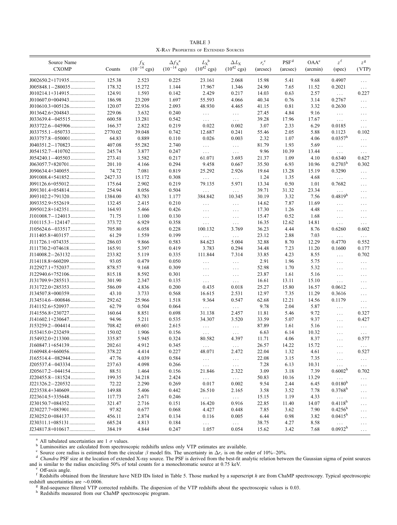TABLE 3 X-Ray Properties of Extended Sources

| Source Name<br><b>CXOMP</b> |                 | $f_{\rm X}$<br>$(10^{-14} \text{ cgs})$ | $\Delta f_X^{\ a}$<br>$(10^{-14} \text{ cgs})$ | $L_{\rm X}^{\rm b}$<br>$(10^{42} \text{ cgs})$ | $\Delta L_{\rm X}$<br>$(10^{42} \text{ cgs})$ | $r_c^{\text{c}}$ | PSF <sup>d</sup> | OAA <sup>e</sup> | $z^{\rm f}$          | $z^{\mathsf{g}}$     |
|-----------------------------|-----------------|-----------------------------------------|------------------------------------------------|------------------------------------------------|-----------------------------------------------|------------------|------------------|------------------|----------------------|----------------------|
|                             | Counts          |                                         |                                                |                                                |                                               | (arcsec)         | (arcsec)         | (arcmin)         | (spec)               | (VTP)                |
| $J002650.2+171935$          | 125.38          | 2.523                                   | 0.225                                          | 23.161                                         | 2.068                                         | 15.98            | 5.41             | 9.68             | 0.4907               | $\ldots$             |
| $J005848.1 - 280035$        | 178.32          | 15.272                                  | 1.144                                          | 17.967                                         | 1.346                                         | 24.90            | 7.65             | 11.52            | 0.2021               | $\ldots$             |
| J010214.1+314915            | 124.91          | 1.593                                   | 0.142                                          | 2.429                                          | 0.217                                         | 14.03            | 0.63             | 2.57             | $\ldots$             | 0.227                |
|                             | 186.98          | 23.209                                  | 1.697                                          | 55.593                                         | 4.066                                         | 40.34            | 0.76             | 3.14             | 0.2767               | $\ldots$             |
|                             | 120.07          | 22.936                                  | 2.093                                          | 48.930                                         | 4.465                                         | 41.15            | 0.81             | 3.32             | 0.2630               | $\ldots$             |
| J013642.6+204843            | 229.06          | 3.632                                   | 0.240                                          | $\ldots$                                       | $\ldots$                                      | 27.45            | 4.84             | 9.16             | $\sim$ $\sim$ $\sim$ | $\ldots$             |
|                             | 600.58          | 13.281                                  | 0.542                                          | $\ldots$                                       | $\ldots$                                      | 39.28            | 17.96            | 17.67            | $\ldots$             | $\ldots$             |
|                             | 166.37          | 2.822                                   | 0.219                                          | 0.022                                          | 0.002                                         | 3.07             | 2.33             | 6.29             | 0.0185               | $\ldots$             |
|                             | 2770.02         | 39.048                                  | 0.742                                          | 12.687                                         | 0.241                                         | 55.46            | 2.05             | 5.88             | 0.1123               | 0.102                |
| $J033757.8 - 050001$        | 64.83           | 0.889                                   | 0.110                                          | 0.026                                          | 0.003                                         | 2.32             | 1.07             | 4.06             | $0.0357^{\rm h}$     | $\ldots$             |
|                             | 407.08          | 55.282                                  | 2.740                                          | $\ldots$                                       | $\ldots$                                      | 81.79            | 1.93             | 5.69             | $\ldots$             | $\ldots$             |
| J054152.7-410702            | 245.74          | 3.877                                   | 0.247                                          | $\cdots$                                       | $\ldots$                                      | 9.96             | 10.39            | 13.44            | $\ldots$ .           | $\ldots$             |
|                             | 273.41          | 3.582                                   | 0.217                                          | 61.071                                         | 3.693                                         | 21.37            | 1.09             | 4.10             | 0.6340               | 0.627                |
| J063057.7+820701            | 201.10          | 4.166                                   | 0.294                                          | 9.458                                          | 0.667                                         | 35.50            | 6.93             | 10.96            | $0.2703^{\rm h}$     | 0.302                |
|                             | 74.72           | 7.081                                   | 0.819                                          | 25.292                                         | 2.926                                         | 19.64            | 13.28            | 15.19            | 0.3290               | $\ldots$             |
| J091008.4+541852            | 2427.33         | 15.172                                  | 0.308                                          | $\ldots$                                       | $\ldots$                                      | 1.24             | 1.35             | 4.68             | $\ldots$             | $\ldots$             |
|                             | 175.64          | 2.902                                   | 0.219                                          | 79.135                                         | 5.971                                         | 13.34            | 0.50             | 1.01             | 0.7682               | $\ldots$             |
|                             | 254.94          | 8.056                                   | 0.504                                          | $\ldots$                                       | $\ldots$                                      | 39.71            | 31.32            | 23.34            | $\ldots$ .           | $\ldots$             |
|                             | 1384.00         | 43.783                                  | 1.177                                          | 384.842                                        | 10.345                                        | 30.19            | 3.32             | 7.56             | 0.4819 <sup>h</sup>  | $\cdots$             |
| J093352.9+552619            | 132.45          | 2.415                                   | 0.210                                          | $\ldots$                                       | $\ldots$                                      | 14.62            | 7.87             | 11.69            | $\ldots$ .           | $\ldots$             |
| $J095012.8+142351$          | 164.93          | 5.466                                   | 0.426                                          | $\ldots$                                       | $\ldots$                                      | 17.30            | 1.26             | 4.48             | $\ldots$             | $\ldots$             |
|                             | 71.75           | 1.100                                   | 0.130                                          | $\cdots$                                       | $\ldots$                                      | 15.47            | 0.52             | 1.68             | $\ldots$             | $\cdots$             |
|                             | 373.72          | 6.929                                   | 0.358                                          | $\ldots$                                       | $\ldots$                                      | 16.35            | 12.62            | 14.81            | $\sim$ $\sim$ $\sim$ | $\ldots$ .           |
|                             | 705.80          | 6.058                                   | 0.228                                          | 100.132                                        | 3.769                                         | 36.23            | 4.44             | 8.76             | 0.6260               | 0.602                |
|                             | 61.29           | 1.559                                   | 0.199                                          | $\ldots$                                       | $\ldots$                                      | 23.12            | 2.88             | 7.03             | $\ldots$             | $\sim$ $\sim$ $\sim$ |
|                             | 286.03          | 9.866                                   | 0.583                                          | 84.623                                         | 5.004                                         | 32.88            | 8.70             | 12.29            | 0.4770               | 0.552                |
| J111730.2+074618            | 165.91          | 5.397                                   | 0.419                                          | 3.783                                          | 0.294                                         | 34.48            | 7.23             | 11.20            | 0.1600               | 0.177                |
|                             | 233.82          | 5.119                                   | 0.335                                          | 111.844                                        | 7.314                                         | 33.85            | 4.23             | 8.55             | $\cdots$             | 0.702                |
|                             | 93.05           | 0.479                                   | 0.050                                          | $\cdots$                                       | $\ldots$                                      | 2.91             | 1.96             | 5.75             | $\ldots$             | $\ldots$             |
|                             | 878.57          | 9.168                                   | 0.309                                          | $\ldots$                                       | $\ldots$                                      | 52.98            | 1.70             | 5.32             | $\cdots$             | $\ldots$             |
| J122940.6+752106            | 815.18          | 8.592                                   | 0.301                                          | $\ldots$                                       | $\ldots$                                      | 23.87            | 1.61             | 5.16             | $\ldots$             | $\ldots$             |
|                             | 301.90          | 2.347                                   | 0.135                                          | $\ldots$                                       | $\ldots$                                      | 16.61            | 13.11            | 15.10            | $\sim$ $\sim$ $\sim$ | $\ldots$             |
| $J131722.0+285353$          | 586.09          | 4.836                                   | 0.200                                          | 0.435                                          | 0.018                                         | 25.27            | 15.80            | 16.57            | 0.0612               | $\ldots$             |
|                             | 43.10           | 3.733                                   | 0.568                                          | 16.615                                         | 2.531                                         | 12.97            | 7.35             | 11.29            | 0.3616               |                      |
|                             | 292.62          | 25.966                                  | 1.518                                          | 9.364                                          | 0.547                                         | 62.68            | 12.21            | 14.56            | 0.1179               | $\ldots$             |
| J141152.6+520937            | 62.79           | 0.504                                   | 0.064                                          | $\ldots$                                       | $\ldots$                                      | 9.78             | 2.04             | 5.87             |                      | $\ldots$             |
| J141556.8+230727            | 160.64          | 8.851                                   | 0.698                                          | 31.138                                         | 2.457                                         | 11.81            | 5.46             | 9.72             | $\ldots$             | $\ldots$<br>0.327    |
| J141602.1+230647            | 94.96           | 5.211                                   | 0.535                                          | 34.307                                         | 3.520                                         | 33.59            | 5.07             | 9.37             | $\ldots$             | 0.427                |
|                             | 708.42          | 69.601                                  | 2.615                                          |                                                |                                               | 87.89            | 1.61             | 5.16             | $\cdots$             |                      |
|                             | 150.02          | 1.906                                   | 0.156                                          | $\ldots$                                       | $\ldots$                                      | 6.63             | 6.14             | 10.32            | $\ldots$             | $\ldots$             |
|                             | 335.87          | 5.945                                   | 0.324                                          | $\ldots$<br>80.582                             | $\ldots$<br>4.397                             | 11.71            | 4.06             | 8.37             | $\cdots$             | $\ldots$<br>0.577    |
| J160847.1+654139            | 202.61          |                                         |                                                |                                                |                                               |                  |                  |                  | $\cdots$             |                      |
|                             |                 | 4.912                                   | 0.345                                          | $\cdots$                                       | $\cdots$                                      | 26.57<br>22.04   | 14.22            | 15.72            |                      | 0.527                |
| J165514.4-082944            | 378.22<br>47.76 | 4.414<br>4.039                          | 0.227<br>0.584                                 | 48.071                                         | 2.472                                         |                  | 1.32             | 4.61             | $\ldots$             |                      |
|                             |                 |                                         |                                                | $\ldots$                                       | $\ldots$ .                                    | 22.08            | 3.15             | 7.35             | $\ldots$             | $\ldots$             |
|                             | 237.63          | 4.098                                   | 0.266                                          | $\ldots$                                       | $\ldots$                                      | 7.28             | 6.13             | 10.31            | $\ldots$             | $\ldots$             |
|                             | 88.51           | 1.464                                   | 0.156                                          | 21.846                                         | 2.322                                         | 3.09             | 3.18             | 7.39             | 0.6002 <sup>h</sup>  | 0.702                |
| J220455.8-181524            | 199.35          | 34.218                                  | 2.424                                          | $\ldots$                                       | $\sim 100$                                    | 50.83            | 10.16            | 13.29            | $\sim$ $\sim$ $\sim$ | $\cdots$             |
|                             | 72.22           | 2.290                                   | 0.269                                          | 0.017                                          | 0.002                                         | 9.54             | 2.44             | 6.45             | $0.0180^{h}$         | $\ldots$             |
| $J223538.4+340609$          | 149.88          | 5.406                                   | 0.442                                          | 26.510                                         | 2.165                                         | 3.58             | 3.52             | 7.78             | $0.3768^{n}$         | $\ldots$             |
|                             | 117.73          | 2.671                                   | 0.246                                          | $\mathcal{L}(\mathcal{L})$                     | $\ldots$                                      | 15.15            | 1.19             | 4.33             | $\ldots$             | $\ldots$             |
| J230150.7+084352            | 321.47          | 2.716                                   | 0.151                                          | 16.420                                         | 0.916                                         | 22.85            | 11.40            | 14.07            | $0.4118^{h}$         | $\ldots$             |
|                             | 97.82           | 0.677                                   | 0.068                                          | 4.427                                          | 0.448                                         | 7.85             | 3.62             | 7.90             | $0.4256^{\rm h}$     | $\ldots$             |
| J230252.0+084137            | 456.11          | 2.874                                   | 0.134                                          | 0.116                                          | 0.005                                         | 6.44             | 0.98             | 3.82             | $0.0415^h$           | $\cdots$             |
|                             | 685.24          | 4.813                                   | 0.184                                          | $\ldots$ .                                     | $\ldots$                                      | 38.75            | 4.27             | 8.58             | $\sim$ $\sim$ $\sim$ | $\ldots$ .           |
| J234817.8+010617            | 384.19          | 4.844                                   | 0.247                                          | 1.057                                          | 0.054                                         | 15.62            | 3.42             | 7.68             | 0.0932 <sup>h</sup>  | $\sim$ $\sim$ $\sim$ |

<sup>a</sup> All tabulated uncertainties are 1  $\sigma$  values.<br><sup>b</sup> Luminosities are calculated from spectroscopic redshifts unless only VTP estimates are available.

Source core radius is estimated from the circular  $\beta$  model fits. The uncertainty in  $\Delta r_c$  is on the order of 10%-20%.

d Chandra PSF size at the location of extended X-ray source. The PSF is derived from the best-fit analytic relation between the Gaussian sigma of point sources and is similar to the radius encircling 50% of total counts fo

 $\sigma$  Off-axis angle.<br>
<sup>f</sup> Redshifts obtained from the literature have NED IDs listed in Table 5. Those marked by a superscript *h* are from ChaMP spectroscopy. Typical spectroscopic redshift uncertainties are  $\sim 0.0006$ .<br><sup>g</sup> Red-sequence filtered VTP corrected redshifts. The dispersion of the VTP redshifts about the spectroscopic values is 0.03.<br><sup>h</sup> Redshifts measured from our ChaMP spectroscopic pr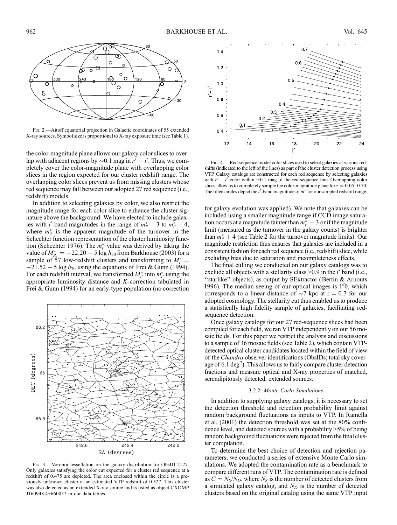

Fig. 2.—Aitoff equatorial projection in Galactic coordinates of 55 extended X-ray sources. Symbol size is proportional to X-ray exposure time (see Table 1).

the color-magnitude plane allows our galaxy color slices to overlap with adjacent regions by  $\sim 0.1$  mag in  $r' - i'$ . Thus, we completely cover the color-magnitude plane with overlapping color slices in the region expected for our cluster redshift range. The overlapping color slices prevent us from missing clusters whose red sequence may fall between our adopted 27 red sequence (i.e., redshift) models.

In addition to selecting galaxies by color, we also restrict the magnitude range for each color slice to enhance the cluster signature above the background. We have elected to include galaxies with *i'*-band magnitudes in the range of  $m_{i'}^*$  – 3 to  $m_{i'}^*$  + 4, where  $m_{i'}^*$  is the apparent magnitude of the turnover in the Schechter function representation of the cluster luminosity function (Schechter 1976). The  $m_{i'}^*$  value was derived by taking the value of  $M^*_{R_c} = -22.20 + 5 \log h_{50}$  from Barkhouse (2003) for a sample of 57 low-redshift clusters and transforming to  $M_{i'}^* =$  $-21.52 + 5 \log h_{70}$  using the equations of Frei & Gunn (1994). For each redshift interval, we transformed  $M_{i'}^*$  into  $m_{i'}^*$  using the appropriate luminosity distance and K-correction tabulated in Frei & Gunn (1994) for an early-type population (no correction



Fig. 3.—Voronoi tessellation on the galaxy distribution for ObsID 2127. Only galaxies satisfying the color cut expected for a cluster red sequence at a redshift of 0.475 are depicted. The area enclosed within the circle is a previously unknown cluster at an estimated VTP redshift of 0.527. This cluster was also detected as an extended X-ray source and is listed as object CXOMP J160948.4+660057 in our data tables.



Fig. 4.—Red-sequence model color slices used to select galaxies at various redshifts (indicated to the left of the lines) as part of the cluster detection process using VTP. Galaxy catalogs are constructed for each red sequence by selecting galaxies with  $r' - i'$  color within  $\pm 0.1$  mag of the red-sequence line. Overlapping color slices allow us to completely sample the color-magnitude plane for  $z = 0.05-0.70$ . The filled circles depict the  $i'$ -band magnitude of  $m^*$  for our sampled redshift range.

for galaxy evolution was applied). We note that galaxies can be included using a smaller magnitude range if CCD image saturation occurs at a magnitude fainter than  $m_{i'}^*$  – 3 or if the magnitude limit (measured as the turnover in the galaxy counts) is brighter than  $m_{i'}^* + 4$  (see Table 2 for the turnover magnitude limits). Our magnitude restriction thus ensures that galaxies are included in a consistent fashion for each red sequence (i.e., redshift) slice, while excluding bias due to saturation and incompleteness effects.

The final culling we conducted on our galaxy catalogs was to exclude all objects with a stellarity class  $>0.9$  in the i' band (i.e., "starlike" objects), as output by SExtractor (Bertin & Arnouts 1996). The median seeing of our optical images is 1.70, which corresponds to a linear distance of  $\sim$ 7 kpc at  $z = 0.7$  for our adopted cosmology. The stellarity cut thus enabled us to produce a statistically high fidelity sample of galaxies, facilitating redsequence detection.

Once galaxy catalogs for our 27 red-sequence slices had been compiled for each field, we ran VTP independently on our 56 mosaic fields. For this paper we restrict the analysis and discussions to a sample of 36 mosaic fields (see Table 2), which contain VTPdetected optical cluster candidates located within the field of view of the Chandra observer identifications (ObsIDs; total sky coverage of 6.1 deg<sup>2</sup>). This allows us to fairly compare cluster detection fractions and measure optical and X-ray properties of matched, serendipitously detected, extended sources.

# 3.2.2. Monte Carlo Simulations

In addition to supplying galaxy catalogs, it is necessary to set the detection threshold and rejection probability limit against random background fluctuations as inputs to VTP. In Ramella et al. (2001) the detection threshold was set at the 80% confidence level, and detected sources with a probability >5% of being random background fluctuations were rejected from the final cluster compilation.

To determine the best choice of detection and rejection parameters, we conducted a series of extensive Monte Carlo simulations. We adopted the contamination rate as a benchmark to compare different runs of VTP. The contamination rate is defined as  $C = N_S/N_D$ , where  $N_S$  is the number of detected clusters from a simulated galaxy catalog, and  $N_D$  is the number of detected clusters based on the original catalog using the same VTP input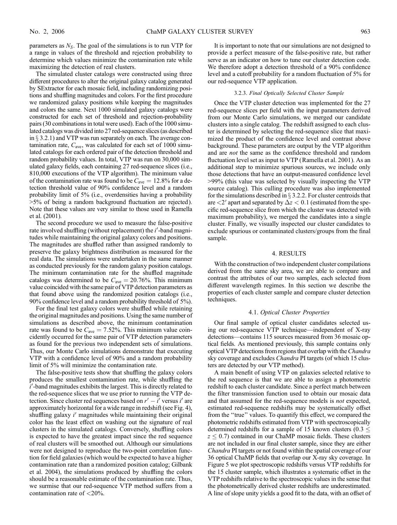parameters as  $N<sub>S</sub>$ . The goal of the simulations is to run VTP for a range in values of the threshold and rejection probability to determine which values minimize the contamination rate while maximizing the detection of real clusters.

The simulated cluster catalogs were constructed using three different procedures to alter the original galaxy catalog generated by SExtractor for each mosaic field, including randomizing positions and shuffling magnitudes and colors. For the first procedure we randomized galaxy positions while keeping the magnitudes and colors the same. Next 1000 simulated galaxy catalogs were constructed for each set of threshold and rejection-probability pairs (30 combinations in total were used). Each of the 1000 simulated catalogs was divided into 27 red-sequence slices (as described in  $\S$  3.2.1) and VTP was run separately on each. The average contamination rate,  $C_{\text{ave}}$ , was calculated for each set of 1000 simulated catalogs for each ordered pair of the detection threshold and random probability values. In total, VTP was run on 30,000 simulated galaxy fields, each containing 27 red-sequence slices (i.e., 810,000 executions of the VTP algorithm). The minimum value of the contamination rate was found to be  $C_{\text{ave}} = 12.8\%$  for a detection threshold value of 90% confidence level and a random probability limit of 5% (i.e., overdensities having a probability >5% of being a random background fluctuation are rejected ). Note that these values are very similar to those used in Ramella et al. (2001).

The second procedure we used to measure the false-positive rate involved shuffling (without replacement) the *i'*-band magnitudes while maintaining the original galaxy colors and positions. The magnitudes are shuffled rather than assigned randomly to preserve the galaxy brightness distribution as measured for the real data. The simulations were undertaken in the same manner as conducted previously for the random galaxy position catalogs. The minimum contamination rate for the shuffled magnitude catalogs was determined to be  $C_{\text{ave}} = 20.76\%$ . This minimum value coincided with the same pair of VTP detection parameters as that found above using the randomized position catalogs (i.e., 90% confidence level and a random probability threshold of 5%).

For the final test galaxy colors were shuffled while retaining the original magnitudes and positions. Using the same number of simulations as described above, the minimum contamination rate was found to be  $C_{\text{ave}} = 7.52\%$ . This minimum value coincidently occurred for the same pair of VTP detection parameters as found for the previous two independent sets of simulations. Thus, our Monte Carlo simulations demonstrate that executing VTP with a confidence level of 90% and a random probability limit of 5% will minimize the contamination rate.

The false-positive tests show that shuffling the galaxy colors produces the smallest contamination rate, while shuffling the  $\vec{i}'$ -band magnitudes exhibits the largest. This is directly related to the red-sequence slices that we use prior to running the VTP detection. Since cluster red sequences based on  $r' - i'$  versus i' are approximately horizontal for a wide range in redshift (see Fig. 4), shuffling galaxy i' magnitudes while maintaining their original color has the least effect on washing out the signature of real clusters in the simulated catalogs. Conversely, shuffling colors is expected to have the greatest impact since the red sequence of real clusters will be smoothed out. Although our simulations were not designed to reproduce the two-point correlation function for field galaxies (which would be expected to have a higher contamination rate than a randomized position catalog; Gilbank et al. 2004), the simulations produced by shuffling the colors should be a reasonable estimate of the contamination rate. Thus, we surmise that our red-sequence VTP method suffers from a contamination rate of <20%.

It is important to note that our simulations are not designed to provide a perfect measure of the false-positive rate, but rather serve as an indicator on how to tune our cluster detection code. We therefore adopt a detection threshold of a 90% confidence level and a cutoff probability for a random fluctuation of 5% for our red-sequence VTP application.

# 3.2.3. Final Optically Selected Cluster Sample

Once the VTP cluster detection was implemented for the 27 red-sequence slices per field with the input parameters derived from our Monte Carlo simulations, we merged our candidate clusters into a single catalog. The redshift assigned to each cluster is determined by selecting the red-sequence slice that maximized the product of the confidence level and contrast above background. These parameters are output by the VTP algorithm and are not the same as the confidence threshold and random fluctuation level set as input to VTP (Ramella et al. 2001). As an additional step to minimize spurious sources, we include only those detections that have an output-measured confidence level >99% (this value was selected by visually inspecting the VTP source catalog). This culling procedure was also implemented for the simulations described in  $\S$  3.2.2. For cluster centroids that are  $\langle 2'$  apart and separated by  $\Delta z < 0.1$  (estimated from the specific red-sequence slice from which the cluster was detected with maximum probability), we merged the candidates into a single cluster. Finally, we visually inspected our cluster candidates to exclude spurious or contaminated clusters/groups from the final sample.

# 4. RESULTS

With the construction of two independent cluster compilations derived from the same sky area, we are able to compare and contrast the attributes of our two samples, each selected from different wavelength regimes. In this section we describe the properties of each cluster sample and compare cluster detection techniques.

## 4.1. Optical Cluster Properties

Our final sample of optical cluster candidates selected using our red-sequence VTP technique—independent of X-ray detections—contains 115 sources measured from 36 mosaic optical fields. As mentioned previously, this sample contains only optical VTP detections from regions that overlap with the *Chandra* sky coverage and excludes *Chandra* PI targets (of which 15 clusters are detected by our VTP method).

A main benefit of using VTP on galaxies selected relative to the red sequence is that we are able to assign a photometric redshift to each cluster candidate. Since a perfect match between the filter transmission function used to obtain our mosaic data and that assumed for the red-sequence models is not expected, estimated red-sequence redshifts may be systematically offset from the ''true'' values. To quantify this effect, we compared the photometric redshifts estimated from VTP with spectroscopically determined redshifts for a sample of 15 known clusters  $(0.3 \leq$  $z \leq 0.7$ ) contained in our ChaMP mosaic fields. These clusters are not included in our final cluster sample, since they are either Chandra PI targets or not found within the spatial coverage of our 36 optical ChaMP fields that overlap our X-ray sky coverage. In Figure 5 we plot spectroscopic redshifts versus VTP redshifts for the 15 cluster sample, which illustrates a systematic offset in the VTP redshifts relative to the spectroscopic values in the sense that the photometrically derived cluster redshifts are underestimated. A line of slope unity yields a good fit to the data, with an offset of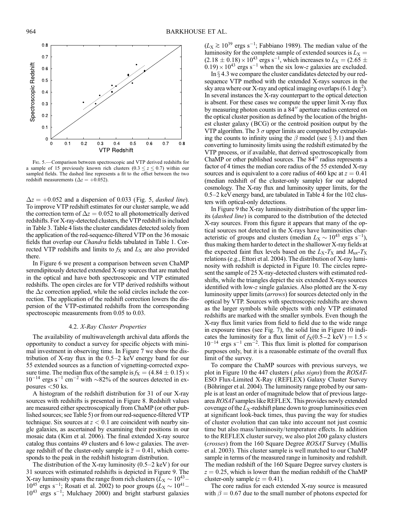

Fig. 5.—Comparison between spectroscopic and VTP derived redshifts for a sample of 15 previously known rich clusters  $(0.3 \le z \le 0.7)$  within our sampled fields. The dashed line represents a fit to the offset between the two redshift measurements ( $\Delta z = +0.052$ ).

 $\Delta z = +0.052$  and a dispersion of 0.033 (Fig. 5, *dashed line*). To improve VTP redshift estimates for our cluster sample, we add the correction term of  $\Delta z = 0.052$  to all photometrically derived redshifts. For X-ray-detected clusters, the VTP redshift is included in Table 3. Table 4 lists the cluster candidates detected solely from the application of the red-sequence-filtered VTP on the 36 mosaic fields that overlap our Chandra fields tabulated in Table 1. Corrected VTP redshifts and limits to  $f_X$  and  $L_X$  are also provided there.

In Figure 6 we present a comparison between seven ChaMP serendipitously detected extended X-ray sources that are matched in the optical and have both spectroscopic and VTP estimated redshifts. The open circles are for VTP derived redshifts without the  $\Delta z$  correction applied, while the solid circles include the correction. The application of the redshift correction lowers the dispersion of the VTP-estimated redshifts from the corresponding spectroscopic measurements from 0.05 to 0.03.

# 4.2. X-Ray Cluster Properties

The availability of multiwavelength archival data affords the opportunity to conduct a survey for specific objects with minimal investment in observing time. In Figure 7 we show the distribution of X-ray flux in the 0.5–2 keV energy band for our 55 extended sources as a function of vignetting-corrected exposure time. The median flux of the sample is  $f_{\rm X} = (4.84 \pm 0.15) \times$  $10^{-14}$  ergs s<sup>-1</sup> cm<sup>-2</sup> with  $\sim$ 82% of the sources detected in exposures  $<$  50 ks.

A histogram of the redshift distribution for 31 of our X-ray sources with redshifts is presented in Figure 8. Redshift values are measured either spectroscopically from ChaMP (or other published sources; see Table 5) or from our red-sequence-filtered VTP technique. Six sources at  $z < 0.1$  are coincident with nearby single galaxies, as ascertained by examining their positions in our mosaic data (Kim et al. 2006). The final extended X-ray source catalog thus contains 49 clusters and 6 low-z galaxies. The average redshift of the cluster-only sample is  $\overline{z} = 0.41$ , which corresponds to the peak in the redshift histogram distribution.

The distribution of the X-ray luminosity  $(0.5-2 \text{ keV})$  for our 31 sources with estimated redshifts is depicted in Figure 9. The X-ray luminosity spans the range from rich clusters ( $\bar{L}_{\rm X} \sim 10^{43}$  –  $10^{45}$  ergs s<sup>-1</sup>; Rosati et al. 2002) to poor groups ( $L_X \sim 10^{41}$ - $10^{43}$  ergs s<sup>-1</sup>; Mulchaey 2000) and bright starburst galaxies

 $(L_X \gtrsim 10^{39} \text{ ergs s}^{-1}$ ; Fabbiano 1989). The median value of the luminosity for the complete sample of extended sources is  $L_X =$  $(2.18 \pm 0.18) \times 10^{43}$  ergs s<sup>-1</sup>, which increases to  $L_{\rm X} = (2.65 \pm 1.05)$  $(0.19) \times 10^{43}$  ergs s<sup>-1</sup> when the six low-z galaxies are excluded.

In  $\S$  4.3 we compare the cluster candidates detected by our redsequence VTP method with the extended X-rays sources in the sky area where our X-ray and optical imaging overlaps (6.1 deg<sup>2</sup>). In several instances the X-ray counterpart to the optical detection is absent. For these cases we compute the upper limit X-ray flux by measuring photon counts in a 84" aperture radius centered on the optical cluster position as defined by the location of the brightest cluster galaxy (BCG) or the centroid position output by the VTP algorithm. The 3  $\sigma$  upper limits are computed by extrapolating the counts to infinity using the  $\beta$  model (see  $\S$  3.1) and then converting to luminosity limits using the redshift estimated by the VTP process, or if available, that derived spectroscopically from ChaMP or other published sources. The 84" radius represents a factor of 4 times the median core radius of the 55 extended X-ray sources and is equivalent to a core radius of 460 kpc at  $z = 0.41$ (median redshift of the cluster-only sample) for our adopted cosmology. The X-ray flux and luminosity upper limits, for the 0.5–2 keV energy band, are tabulated in Table 4 for the 102 clusters with optical-only detections.

In Figure 9 the X-ray luminosity distribution of the upper limits (dashed line) is compared to the distribution of the detected X-ray sources. From this figure it appears that many of the optical sources not detected in the X-rays have luminosities characteristic of groups and clusters (median  $L_X \sim 10^{43}$  ergs s<sup>-1</sup>), thus making them harder to detect in the shallower X-ray fields at the expected faint flux levels based on the  $L_X-T_X$  and  $M_{tot}-T_X$ relations (e.g., Ettori et al. 2004). The distribution of X-ray luminosity with redshift is depicted in Figure 10. The circles represent the sample of 25 X-ray-detected clusters with estimated redshifts, while the triangles depict the six extended X-rays sources identified with low-z single galaxies. Also plotted are the X-ray luminosity upper limits (arrows) for sources detected only in the optical by VTP. Sources with spectroscopic redshifts are shown as the larger symbols while objects with only VTP estimated redshifts are marked with the smaller symbols. Even though the X-ray flux limit varies from field to field due to the wide range in exposure times (see Fig. 7), the solid line in Figure 10 indicates the luminosity for a flux limit of  $f_X(0.5-2 \text{ keV}) = 1.5 \times$  $10^{-14}$  ergs s<sup>-1</sup> cm<sup>-2</sup>. This flux limit is plotted for comparison purposes only, but it is a reasonable estimate of the overall flux limit of the survey.

To compare the ChaMP sources with previous surveys, we plot in Figure 10 the 447 clusters ( plus signs) from the ROSAT-ESO Flux-Limited X-Ray (REFLEX ) Galaxy Cluster Survey (Böhringer et al. 2004). The luminosity range probed by our sample is at least an order of magnitude below that of previous largearea ROSATsamples like REFLEX. This provides newly extended coverage of the  $L_X$ -redshift plane down to group luminosities even at significant look-back times, thus paving the way for studies of cluster evolution that can take into account not just cosmic time but also mass/luminosity/temperature effects. In addition to the REFLEX cluster survey, we also plot 200 galaxy clusters (crosses) from the 160 Square Degree ROSAT Survey (Mullis et al. 2003). This cluster sample is well matched to our ChaMP sample in terms of the measured range in luminosity and redshift. The median redshift of the 160 Square Degree survey clusters is  $z = 0.25$ , which is lower than the median redshift of the ChaMP cluster-only sample  $(z = 0.41)$ .

The core radius for each extended X-ray source is measured with  $\beta = 0.67$  due to the small number of photons expected for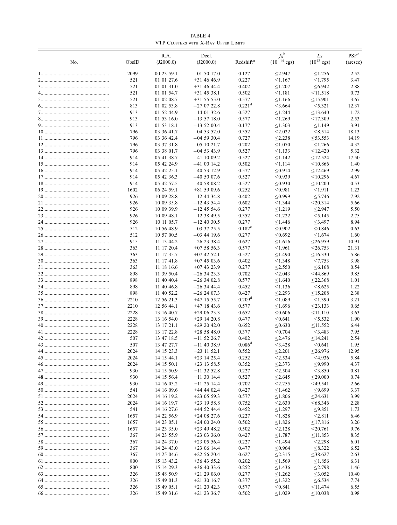TABLE 4 VTP Clusters with X-Ray Upper Limits

| No. | ObsID       | R.A.<br>(J2000.0)        | Decl.<br>(J2000.0)             | Redshift <sup>a</sup> | $f_X^{\ b}$<br>$(10^{-14} \text{ cgs})$ | $L_{\rm X}$<br>$(10^{42} \text{ cgs})$ | PSF <sup>c</sup><br>(arcsec) |
|-----|-------------|--------------------------|--------------------------------|-----------------------|-----------------------------------------|----------------------------------------|------------------------------|
|     | 2099        | 00 23 59.1               | $-01$ 50 17.0                  | 0.127                 | < 2.947                                 | < 1.256                                | 2.52                         |
|     | 521         | 01 01 27.6               | $+31$ 46 46.9                  | 0.227                 | < 1.167                                 | < 1.795                                | 3.47                         |
|     | 521         | 01 01 31.0               | $+31$ 46 44.4                  | 0.402                 | < 1.207                                 | < 6.942                                | 2.88                         |
|     | 521         | 01 01 54.7               | $+31$ 45 38.1                  | 0.502                 | < 1.181                                 | $<$ 11.518                             | 0.73                         |
|     | 521         | 01 02 08.7               | $+31$ 55 55.0                  | 0.577                 | < 1.166                                 | $<$ 15.901                             | 3.67                         |
|     | 813         | 01 02 53.8               | $-270722.8$                    | $0.221$ <sup>d</sup>  | $<$ 3.664                               | $\leq$ 5.321                           | 12.37                        |
|     | 913         | 01 52 44.9               | $-140132.6$                    | 0.527                 | < 1.244                                 | < 13.640                               | 1.72                         |
|     | 913<br>913  | 01 53 16.0<br>01 53 18.1 | $-135718.0$<br>$-135200.4$     | 0.577<br>0.177        | < 1.269<br>< 1.303                      | $<$ 17.309<br>< 1.149                  | 2.53<br>3.91                 |
|     | 796         | 03 36 41.7               | $-04$ 53 52.0                  | 0.352                 | < 2.022                                 | < 8.514                                | 18.13                        |
|     | 796         | 03 36 42.4               | $-04$ 59 30.4                  | 0.727                 | < 2.238                                 | $<$ 53.553                             | 14.19                        |
|     | 796         | 03 37 31.8               | $-05$ 10 21.7                  | 0.202                 | < 1.070                                 | < 1.266                                | 4.32                         |
|     | 796         | 03 38 01.7               | $-04$ 53 43.9                  | 0.527                 | < 1.133                                 | < 12.420                               | 5.32                         |
|     | 914         | 05 41 38.7               | $-41$ 10 09.2                  | 0.527                 | < 1.142                                 | < 12.524                               | 17.50                        |
|     | 914         | 05 42 24.9               | $-41$ 00 14.2                  | 0.502                 | < 1.114                                 | $<$ 10.866                             | 1.40                         |
|     | 914         | 05 42 25.1               | $-40$ 53 12.9                  | 0.577                 | < 0.914                                 | < 12.469                               | 2.99                         |
|     | 914         | 05 42 36.3               | $-405007.6$                    | 0.527                 | < 0.939                                 | < 10.296                               | 4.67                         |
|     | 914         | 05 42 57.5               | $-405808.2$                    | 0.527                 | < 0.930                                 | $<$ 10.200                             | 0.53                         |
|     | 1602        | 06 24 59.1               | $+815909.6$                    | 0.252                 | < 0.981                                 | < 1.911                                | 1.23                         |
|     | 926         | 10 09 28.8               | $-12$ 44 34.8                  | 0.402                 | < 0.999                                 | < 5.746                                | 7.92                         |
|     | 926         | 10 09 35.8               | $-12$ 43 54.4                  | 0.602                 | < 1.344                                 | $<$ 20.314                             | 5.66                         |
|     | 926<br>926  | 10 09 39.9<br>10 09 48.1 | $-12$ 45 54.6<br>$-12$ 38 49.5 | 0.277<br>0.352        | < 1.219<br>< 1.222                      | < 2.947<br>< 5.145                     | 5.50<br>2.75                 |
|     | 926         | 10 11 05.7               | $-12$ 40 30.5                  | 0.277                 | < 1.446                                 | $<$ 3.497                              | 8.94                         |
|     | 512         | 10 56 48.9               | $-03$ 37 25.5                  | $0.182^e$             | < 0.902                                 | < 0.846                                | 0.63                         |
|     | 512         | 10 57 00.5               | $-03$ 44 19.6                  | 0.277                 | < 0.692                                 | < 1.674                                | 1.60                         |
|     | 915         | 11 13 44.2               | $-262338.4$                    | 0.627                 | < 1.616                                 | $<$ 26.959                             | 10.91                        |
|     | 363         | 11 17 20.4               | $+075856.3$                    | 0.577                 | < 1.961                                 | $<$ 26.753                             | 21.31                        |
|     | 363         | 11 17 35.7               | $+07$ 42 52.1                  | 0.527                 | < 1.490                                 | $<$ 16.330                             | 5.86                         |
|     | 363         | 11 17 41.8               | $+07$ 45 03.6                  | 0.402                 | < 1.348                                 | < 7.753                                | 3.98                         |
|     | 363         | 11 18 16.6               | $+07$ 43 23.9                  | 0.277                 | < 2.550                                 | <6.168                                 | 0.54                         |
|     | 898         | 11 39 50.4               | $-263423.3$                    | 0.702                 | < 2.043                                 | $<$ 44.869                             | 9.85                         |
|     | 898         | 11 40 40.4               | $-263402.8$                    | 0.577                 | < 1.640                                 | $<$ 22.368                             | 1.01                         |
|     | 898<br>898  | 11 40 46.8<br>11 40 52.2 | $-263444.4$<br>$-262407.3$     | 0.452<br>0.427        | < 1.136<br>< 2.293                      | <8.625<br>$<$ 15.208                   | 1.22<br>2.38                 |
|     | 2210        | 12 56 21.3               | $+47$ 15 55.7                  | 0.209 <sup>d</sup>    | < 1.089                                 | < 1.390                                | 3.21                         |
|     | 2210        | 12 56 44.1               | $+47$ 18 43.6                  | 0.577                 | < 1.696                                 | $<$ 23.133                             | 0.65                         |
|     | 2228        | 13 16 40.7               | $+290623.3$                    | 0.652                 | < 0.606                                 | < 11.110                               | 3.63                         |
|     | 2228        | 13 16 54.0               | $+29$ 14 20.8                  | 0.477                 | < 0.641                                 | < 5.532                                | 1.90                         |
|     | 2228        | 13 17 21.1               | $+292042.0$                    | 0.652                 | < 0.630                                 | $<$ 11.552                             | 6.44                         |
|     | 2228        | 13 17 22.8               | $+285848.0$                    | 0.377                 | < 0.704                                 | $<$ 3.483                              | 7.95                         |
| 42  | 507         | 13 47 18.5               | $-11$ 52 26.7                  | 0.402                 | $≤$ 2.476                               | $\leq$ 14.241                          | 2.54                         |
|     | 507         | 13 47 27.7               | $-11$ 40 38.9                  | 0.086 <sup>d</sup>    | $\leq$ 3.428                            | < 0.641                                | 1.95                         |
|     | 2024        | 14 15 23.3               | $+23$ 11 52.1                  | 0.552                 | < 2.201                                 | $<$ 26.976                             | 12.95                        |
|     | 2024        | 14 15 44.1               | $+23$ 14 25.4                  | 0.252                 | < 2.534                                 | ≤4.936                                 | 5.84                         |
|     | 2024<br>930 | 14 15 50.1<br>14 15 50.9 | $+23$ 13 58.5<br>$+11$ 32 52.8 | 0.352<br>0.227        | < 2.373<br>$\leq$ 2.504                 | < 9.990<br>≤3.850                      | 4.37<br>0.81                 |
|     | 930         | 14 15 56.4               | $+11$ 30 14.4                  | 0.527                 | < 2.645                                 | $<$ 29.000                             | 0.74                         |
|     | 930         | 14 16 03.2               | $+11$ 25 14.4                  | 0.702                 | < 2.255                                 | $<$ 49.541                             | 2.66                         |
|     | 541         | 14 16 09.6               | $+44$ 44 02.4                  | 0.427                 | < 1.462                                 | < 9.699                                | 3.37                         |
|     | 2024        | 14 16 19.2               | $+23$ 05 59.3                  | 0.577                 | < 1.806                                 | $<$ 24.631                             | 3.99                         |
|     | 2024        | 14 16 19.7               | $+23$ 19 58.8                  | 0.752                 | < 2.630                                 | <68.346                                | 2.28                         |
|     | 541         | 14 16 27.6               | $+44$ 52 44.4                  | 0.452                 | < 1.297                                 | < 9.851                                | 1.73                         |
|     | 1657        | 14 22 56.9               | $+240827.6$                    | 0.227                 | < 1.828                                 | $\leq$ 2.811                           | 6.46                         |
|     | 1657        | 14 23 05.1               | $+240024.0$                    | 0.502                 | < 1.826                                 | $<$ 17.816                             | 3.26                         |
|     | 1657        | 14 23 35.0               | $+23$ 49 48.2                  | 0.502                 | < 2.128                                 | $\leq$ 20.761                          | 9.76                         |
|     | 367         | 14 23 55.9               | $+230336.0$                    | 0.427                 | < 1.787                                 | $<$ 11.853                             | 8.35                         |
|     | 367         | 14 24 37.0               | $+23$ 05 56.4                  | 0.227                 | < 1.494                                 | < 2.298                                | 6.01                         |
|     | 367<br>367  | 14 24 43.0<br>14 25 04.6 | $+230614.4$<br>$+22, 56, 20.4$ | 0.477<br>0.627        | ≤0.964<br>< 2.315                       | $\leq$ 8.322<br>$<$ 38.627             | 6.52<br>2.63                 |
|     | 800         | 15 13 43.2               | $+36$ 43 55.2                  | 0.202                 | < 1.569                                 | ≤1.856                                 | 6.31                         |
|     | 800         | 15 14 29.3               | $+36$ 40 33.6                  | 0.252                 | < 1.436                                 | < 2.798                                | 1.46                         |
|     | 326         | 15 48 50.9               | $+21$ 29 06.0                  | 0.277                 | < 1.262                                 | $\leq 3.052$                           | 10.40                        |
|     | 326         | 15 49 01.3               | $+21$ 30 16.7                  | 0.377                 | < 1.322                                 | ≤ $6.534$                              | 7.74                         |
|     | 326         | 15 49 05.1               | $+21$ 20 42.3                  | 0.577                 | ≤0.841                                  | $\leq$ 11.474                          | 6.55                         |
|     | 326         | 15 49 31.6               | $+21$ 23 36.7                  | 0.502                 | < 1.029                                 | ≤10.038                                | 0.98                         |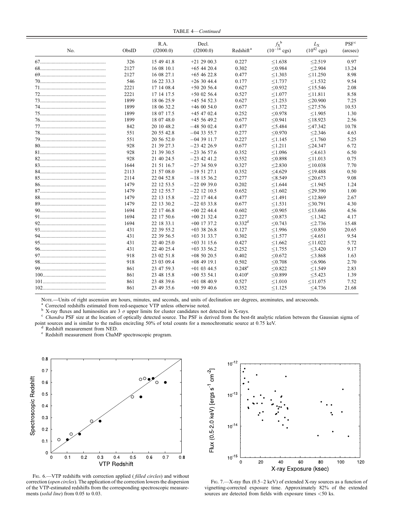TABLE 4—Continued

|     |       | R.A.       | Decl.         |                       | $f_{\rm X}^{\;\rm b}$    | $L_{\rm X}$             | PSF <sup>c</sup> |
|-----|-------|------------|---------------|-----------------------|--------------------------|-------------------------|------------------|
| No. | ObsID | (J2000.0)  | (J2000.0)     | Redshift <sup>a</sup> | $(10^{-14} \text{ cgs})$ | $(10^{42} \text{ cgs})$ | (arcsec)         |
|     | 326   | 15 49 41.8 | $+21$ 29 00.3 | 0.227                 | < 1.638                  | < 2.519                 | 0.97             |
|     | 2127  | 16 08 10.1 | $+65$ 44 20.4 | 0.302                 | < 0.984                  | < 2.904                 | 13.24            |
|     | 2127  | 16 08 27.1 | $+65$ 46 22.8 | 0.477                 | < 1.303                  | < 11.250                | 8.98             |
|     | 546   | 16 22 33.3 | $+263044.4$   | 0.177                 | < 1.737                  | < 1.532                 | 9.54             |
|     | 2221  | 17 14 08.4 | $+502056.4$   | 0.627                 | < 0.932                  | $<$ 15.546              | 2.08             |
|     | 2221  | 17 14 17.5 | $+50$ 02 56.4 | 0.527                 | < 1.077                  | $<$ 11.811              | 8.58             |
|     | 1899  | 18 06 25.9 | $+45$ 54 52.3 | 0.627                 | < 1.253                  | $<$ 20.900              | 7.25             |
|     | 1899  | 18 06 32.2 | $+460054.0$   | 0.677                 | < 1.372                  | $<$ 27.576              | 10.53            |
|     | 1899  | 18 07 17.5 | $+45$ 47 02.4 | 0.252                 | < 0.978                  | < 1.905                 | 1.30             |
|     | 1899  | 18 07 48.0 | $+45$ 56 49.2 | 0.677                 | < 0.941                  | < 18.923                | 2.56             |
|     | 842   | 20 10 48.2 | $-485002.4$   | 0.477                 | < 5.484                  | $<$ 47.342              | 10.78            |
|     | 551   | 20 55 42.8 | $-043355.7$   | 0.277                 | < 0.970                  | < 2.346                 | 4.63             |
|     | 551   | 20 56 52.0 | $-043911.7$   | 0.227                 | < 1.145                  | < 1.760                 | 5.25             |
|     | 928   | 21 39 27.3 | $-23$ 42 26.9 | 0.677                 | < 1.211                  | $<$ 24.347              | 6.72             |
|     | 928   | 21 39 30.5 | $-233657.6$   | 0.352                 | < 1.096                  | < 4.613                 | 6.50             |
|     | 928   | 21 40 24.5 | $-23$ 42 41.2 | 0.552                 | < 0.898                  | < 11.013                | 0.75             |
|     | 1644  | 21 51 16.7 | $-273450.9$   | 0.327                 | < 2.830                  | < 10.038                | 7.70             |
|     | 2113  | 21 57 08.0 | $-195127.1$   | 0.352                 | $<$ 4.629                | $<$ 19.488              | 0.50             |
|     | 2114  | 22 04 52.8 | $-18$ 15 36.2 | 0.277                 | < 8.549                  | $<$ 20.673              | 9.08             |
|     | 1479  | 22 12 53.5 | $-220939.0$   | 0.202                 | < 1.644                  | < 1.945                 | 1.24             |
|     | 1479  | 22 12 55.7 | $-22$ 12 10.5 | 0.652                 | < 1.602                  | $<$ 29.390              | 1.00             |
|     | 1479  | 22 13 15.8 | $-22$ 17 44.4 | 0.477                 | < 1.491                  | < 12.869                | 2.67             |
|     | 1479  | 22 13 30.2 | $-22033338$   | 0.677                 | < 1.531                  | $<$ 30.791              | 4.30             |
|     | 1694  | 22 17 46.8 | $+00$ 22 44.4 | 0.602                 | < 0.905                  | $<$ 13.686              | 4.56             |
|     | 1694  | 22 17 50.6 | $+00$ 21 32.4 | 0.227                 | < 0.873                  | < 1.342                 | 4.17             |
|     | 1694  | 22 18 33.1 | $+00$ 17 37.2 | $0.332$ <sup>d</sup>  | < 0.743                  | < 2.736                 | 15.48            |
|     | 431   | 22 39 55.2 | $+03$ 38 26.8 | 0.127                 | < 1.996                  | < 0.850                 | 20.65            |
|     | 431   | 22 39 56.5 | $+03$ 31 33.7 | 0.302                 | < 1.577                  | < 4.651                 | 9.54             |
|     | 431   | 22 40 25.0 | $+03$ 31 15.6 | 0.427                 | < 1.662                  | < 11.022                | 5.72             |
|     | 431   | 22 40 25.4 | $+033356.2$   | 0.252                 | < 1.755                  | $<$ 3.420               | 9.17             |
|     | 918   | 23 02 51.8 | $+085020.5$   | 0.402                 | < 0.672                  | $<$ 3.868               | 1.63             |
|     | 918   | 23 03 09.4 | $+08$ 49 19.1 | 0.502                 | < 0.708                  | <6.906                  | 2.70             |
|     | 861   | 23 47 59.3 | $+01$ 03 44.5 | $0.248^{\rm e}$       | < 0.822                  | < 1.549                 | 2.83             |
|     | 861   | 23 48 15.8 | $+00$ 53 54.1 | 0.410 <sup>e</sup>    | < 0.899                  | < 5.423                 | 1.39             |
|     | 861   | 23 48 39.6 | $+01$ 08 40.9 | 0.527                 | < 1.010                  | < 11.075                | 7.52             |
|     | 861   | 23 49 35.6 | $+00$ 59 40.6 | 0.352                 | < 1.125                  | $<$ 4.736               | 21.68            |

Nore.—Units of right ascension are hours, minutes, and seconds, and units of declination are degrees, arcminutes, and arcseconds.<br><sup>a</sup> Corrected redshifts estimated from red-sequence VTP unless otherwise noted.<br><sup>b</sup> X-ray f point sources and is similar to the radius encircling 50% of total counts for a monochromatic source at 0.75 keV. <sup>d</sup> Redshift measurement from ChaMP spectroscopic program.



FIG. 6.—VTP redshifts with correction applied (*filled circles*) and without correction (open circles). The application of the correction lowers the dispersion of the VTP-estimated redshifts from the corresponding spectroscopic measurements (solid line) from 0.05 to 0.03.



FIG. 7.—X-ray flux (0.5–2 keV) of extended X-ray sources as a function of vignetting-corrected exposure time. Approximately 82% of the extended sources are detected from fields with exposure times <50 ks.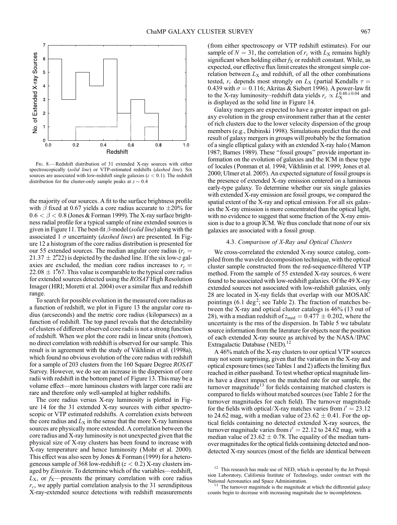

FIG. 8.—Redshift distribution of 31 extended X-ray sources with either spectroscopically (solid line) or VTP-estimated redshifts (dashed line). Six sources are associated with low-redshift single galaxies ( $z < 0.1$ ). The redshift distribution for the cluster-only sample peaks at  $z \sim 0.4$ 

the majority of our sources. A fit to the surface brightness profile with  $\beta$  fixed at 0.67 yields a core radius accurate to  $\pm 20\%$  for  $0.6 < \beta < 0.8$  (Jones & Forman 1999). The X-ray surface brightness radial profile for a typical sample of nine extended sources is given in Figure 11. The best-fit  $\beta$ -model (solid line) along with the associated 1  $\sigma$  uncertainty (*dashed lines*) are presented. In Figure 12 a histogram of the core radius distribution is presented for our 55 extended sources. The median angular core radius ( $r_c$  =  $21.37 \pm 2\degree{22}$  is depicted by the dashed line. If the six low-z galaxies are excluded, the median core radius increases to  $r_c$  =  $22.08 \pm 1\%$ 7. This value is comparable to the typical core radius for extended sources detected using the ROSAT High Resolution Imager (HRI; Moretti et al. 2004) over a similar flux and redshift range.

To search for possible evolution in the measured core radius as a function of redshift, we plot in Figure 13 the angular core radius (arcseconds) and the metric core radius ( kiloparsecs) as a function of redshift. The top panel reveals that the detectability of clusters of different observed core radii is not a strong function of redshift. When we plot the core radii in linear units (bottom), no direct correlation with redshift is observed for our sample. This result is in agreement with the study of Vikhlinin et al. (1998a), which found no obvious evolution of the core radius with redshift for a sample of 203 clusters from the 160 Square Degree ROSAT Survey. However, we do see an increase in the dispersion of core radii with redshift in the bottom panel of Figure 13. This may be a volume effect—more luminous clusters with larger core radii are rare and therefore only well-sampled at higher redshifts.

The core radius versus X-ray luminosity is plotted in Figure 14 for the 31 extended X-ray sources with either spectroscopic or VTP estimated redshifts. A correlation exists between the core radius and  $L<sub>X</sub>$  in the sense that the more X-ray luminous sources are physically more extended. A correlation between the core radius and X-ray luminosity is not unexpected given that the physical size of X-ray clusters has been found to increase with X-ray temperature and hence luminosity (Mohr et al. 2000). This effect was also seen by Jones & Forman (1999) for a heterogeneous sample of 368 low-redshift  $(z < 0.2)$  X-ray clusters imaged by Einstein. To determine which of the variables—redshift,  $L_{\rm X}$ , or  $f_{\rm X}$ —presents the primary correlation with core radius  $r_c$ , we apply partial correlation analysis to the 31 serendipitous X-ray-extended source detections with redshift measurements (from either spectroscopy or VTP redshift estimates). For our sample of  $N = 31$ , the correlation of  $r_c$  with  $L_X$  remains highly significant when holding either  $f_X$  or redshift constant. While, as expected, our effective flux limit creates the strongest simple correlation between  $L_X$  and redshift, of all the other combinations tested,  $r_c$  depends most strongly on  $L_X$  (partial Kendalls  $\tau =$ 0.439 with  $\sigma = 0.116$ ; Akritas & Siebert 1996). A power-law fit to the X-ray luminosity–redshift data yields  $r_c \propto \bar{L}_{\rm X}^{0.48\pm0.04}$  and is displayed as the solid line in Figure 14.

Galaxy mergers are expected to have a greater impact on galaxy evolution in the group environment rather than at the center of rich clusters due to the lower velocity dispersion of the group members (e.g., Dubinski 1998). Simulations predict that the end result of galaxy mergers in groups will probably be the formation of a single elliptical galaxy with an extended X-ray halo (Mamon 1987; Barnes 1989). These ''fossil groups'' provide important information on the evolution of galaxies and the ICM in these type of locales (Ponman et al. 1994; Vikhlinin et al. 1999; Jones et al. 2000; Ulmer et al. 2005). An expected signature of fossil groups is the presence of extended X-ray emission centered on a luminous early-type galaxy. To determine whether our six single galaxies with extended X-ray emission are fossil groups, we compared the spatial extent of the X-ray and optical emission. For all six galaxies the X-ray emission is more concentrated than the optical light, with no evidence to suggest that some fraction of the X-ray emission is due to a group ICM. We thus conclude that none of our six galaxies are associated with a fossil group.

# 4.3. Comparison of X-Ray and Optical Clusters

We cross-correlated the extended X-ray source catalog, compiled from the wavelet decomposition technique, with the optical cluster sample constructed from the red-sequence-filtered VTP method. From the sample of 55 extended X-ray sources, 6 were found to be associated with low-redshift galaxies. Of the 49 X-ray extended sources not associated with low-redshift galaxies, only 28 are located in X-ray fields that overlap with our MOSAIC pointings  $(6.1 \text{ deg}^2)$ ; see Table 2). The fraction of matches between the X-ray and optical cluster catalogs is 46% (13 out of 28), with a median redshift of  $z_{\text{med}} = 0.477 \pm 0.202$ , where the uncertainty is the rms of the dispersion. In Table 5 we tabulate source information from the literature for objects near the position of each extended X-ray source as archived by the NASA/IPAC Extragalactic Database (NED).<sup>12</sup>

A 46% match of the X-ray clusters to our optical VTP sources may not seem surprising, given that the variation in the X-ray and optical exposure times (see Tables 1 and 2) affects the limiting flux reached in either passband. To test whether optical magnitude limits have a direct impact on the matched rate for our sample, the turnover magnitude<sup>13</sup> for fields containing matched clusters is compared to fields without matched sources (see Table 2 for the turnover magnitudes for each field). The turnover magnitude for the fields with optical/X-ray matches varies from  $i' = 23.12$ to 24.62 mag, with a median value of  $23.62 \pm 0.41$ . For the optical fields containing no detected extended X-ray sources, the turnover magnitude varies from  $i' = 22.12$  to 24.62 mag, with a median value of 23.62  $\pm$  0.78. The equality of the median turnover magnitudes for the optical fields containing detected and nondetected X-ray sources (most of the fields are identical between

 $12$  This research has made use of NED, which is operated by the Jet Propulsion Laboratory, California Institute of Technology, under contract with the National Aeronautics and Space Administration.

The turnover magnitude is the magnitude at which the differential galaxy counts begin to decrease with increasing magnitude due to incompleteness.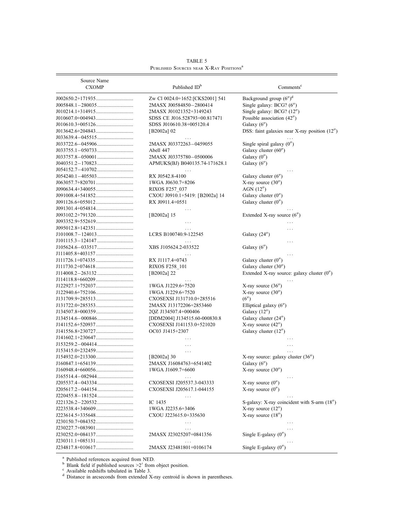| Source Name<br><b>CXOMP</b> | Published ID <sup>b</sup>       | Comments <sup>c</sup>                         |  |  |
|-----------------------------|---------------------------------|-----------------------------------------------|--|--|
|                             | Zw Cl 0024.0+1652:[CKS2001] 541 | Background group $(6'')^d$                    |  |  |
|                             | 2MASX J00584850-2800414         | Single galaxy: BCG? (6")                      |  |  |
|                             | 2MASX J01021352+3149243         | Single galaxy: BCG? (12")                     |  |  |
|                             |                                 |                                               |  |  |
|                             | SDSS CE J016.528793+00.817471   | Possible association (42")                    |  |  |
|                             | SDSS J010610.38+005120.4        | Galaxy $(6'')$                                |  |  |
|                             | [ $B2002a$ ] 02                 | DSS: faint galaxies near X-ray position (12") |  |  |
|                             |                                 |                                               |  |  |
|                             | 2MASX J03372263-0459055         | Single spiral galaxy (0")                     |  |  |
|                             | Abell 447                       | Galaxy cluster (60")                          |  |  |
|                             | 2MASX J03375780-0500006         | Galaxy $(0'')$                                |  |  |
|                             | APMUKS(BJ) B040135.74-171628.1  | Galaxy $(6'')$                                |  |  |
|                             |                                 |                                               |  |  |
|                             | RX J0542.8-4100                 | Galaxy cluster $(6'')$                        |  |  |
|                             | 1WGA J0630.7+8206               | X-ray source $(30'')$                         |  |  |
|                             | RIXOS F257 037                  | AGN(12'')                                     |  |  |
|                             | CXOU J0910.1+5419: [B2002a] 14  | Galaxy cluster $(0'')$                        |  |  |
|                             | RX J0911.4+0551                 | Galaxy cluster $(0'')$                        |  |  |
|                             |                                 |                                               |  |  |
|                             | [ $B2002a$ ] 15                 | Extended X-ray source $(6'')$                 |  |  |
|                             | $\cdots$                        |                                               |  |  |
|                             |                                 |                                               |  |  |
|                             | LCRS B100740.9-122545           | Galaxy $(24'')$                               |  |  |
|                             |                                 | .                                             |  |  |
|                             | XBS J105624.2-033522            | Galaxy $(6'')$                                |  |  |
|                             |                                 |                                               |  |  |
|                             | RX J1117.4+0743                 | Galaxy cluster $(0'')$                        |  |  |
|                             | <b>RIXOS F258 101</b>           | Galaxy cluster (30")                          |  |  |
|                             |                                 | Extended X-ray source: galaxy cluster (0")    |  |  |
|                             | [B2002a] 22                     |                                               |  |  |
|                             |                                 |                                               |  |  |
|                             | 1WGA J1229.6+7520               | X-ray source $(36'')$                         |  |  |
|                             | 1WGA J1229.6+7520               | X-ray source $(30'')$                         |  |  |
|                             | CXOSEXSI J131710.0+285516       | (6'')                                         |  |  |
|                             | 2MASX J13172206+2853460         | Elliptical galaxy (6")                        |  |  |
|                             | 2QZ J134507.4+000406            | Galaxy (12")                                  |  |  |
|                             | [DDM2004] J134515.60-000830.8   | Galaxy cluster (24")                          |  |  |
|                             | CXOSEXSI J141153.0+521020       | X-ray source $(42'')$                         |  |  |
|                             | OC03 J1415+2307                 | Galaxy cluster (12")                          |  |  |
|                             |                                 |                                               |  |  |
|                             | .                               |                                               |  |  |
|                             | $\cdots$                        |                                               |  |  |
|                             | [B2002a] 30                     | X-ray source: galaxy cluster $(36'')$         |  |  |
|                             | 2MASX J16084763+6541402         | Galaxy $(6'')$                                |  |  |
|                             | 1WGA J1609.7+6600               | X-ray source $(30'')$                         |  |  |
|                             |                                 |                                               |  |  |
|                             | CXOSEXSI J205537.3-043333       | X-ray source $(0'')$                          |  |  |
|                             | CXOSEXSI J205617.1-044155       | X-ray source $(0'')$                          |  |  |
|                             | $\cdots$                        |                                               |  |  |
|                             | IC 1435                         | S-galaxy: X-ray coincident with S-arm (18")   |  |  |
|                             | 1WGA J2235.6+3406               | X-ray source $(12'')$                         |  |  |
|                             | CXOU J223615.0+335630           | X-ray source $(18'')$                         |  |  |
|                             | $\cdots$                        |                                               |  |  |
|                             | $\cdots$                        |                                               |  |  |
|                             | 2MASX J23025207+0841356         | Single E-galaxy $(0'')$                       |  |  |
|                             | $\cdots$                        |                                               |  |  |
|                             | 2MASX J23481801+0106174         | Single E-galaxy (0")                          |  |  |
|                             |                                 |                                               |  |  |

TABLE 5 PUBLISHED SOURCES NEAR X-RAY POSITIONS<sup>a</sup>

<sup>a</sup> Published references acquired from NED.<br>
<sup>b</sup> Blank field if published sources  $>2'$  from object position.<br>
<sup>c</sup> Available redshifts tabulated in Table 3.<br>
<sup>d</sup> Distance in arcseconds from extended X-ray centroid is show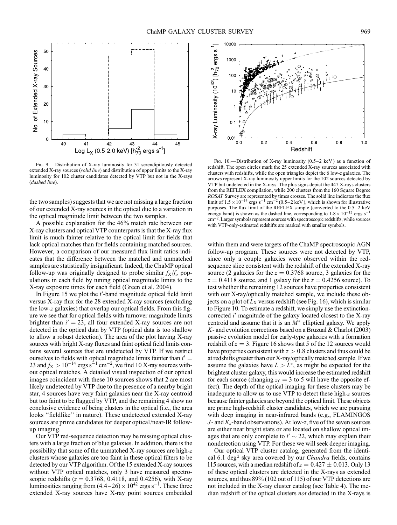

Fig. 9.—Distribution of X-ray luminosity for 31 serendipitously detected extended X-ray sources (solid line) and distribution of upper limits to the X-ray luminosity for 102 cluster candidates detected by VTP but not in the X-rays (dashed line).

the two samples) suggests that we are not missing a large fraction of our extended X-ray sources in the optical due to a variation in the optical magnitude limit between the two samples.

A possible explanation for the 46% match rate between our X-ray clusters and optical VTP counterparts is that the X-ray flux limit is much fainter relative to the optical limit for fields that lack optical matches than for fields containing matched sources. However, a comparison of our measured flux limit ratios indicates that the difference between the matched and unmatched samples are statistically insignificant. Indeed, the ChaMP optical follow-up was originally designed to probe similar  $f<sub>X</sub>/f<sub>o</sub>$  populations in each field by tuning optical magnitude limits to the X-ray exposure times for each field (Green et al. 2004).

In Figure 15 we plot the  $i'$ -band magnitude optical field limit versus X-ray flux for the 28 extended X-ray sources (excluding the low-z galaxies) that overlap our optical fields. From this figure we see that for optical fields with turnover magnitude limits brighter than  $i' = 23$ , all four extended X-ray sources are not detected in the optical data by VTP (optical data is too shallow to allow a robust detection). The area of the plot having X-ray sources with bright X-ray fluxes and faint optical field limits contains several sources that are undetected by VTP. If we restrict ourselves to fields with optical magnitude limits fainter than  $i' =$ 23 and  $f_X > 10^{-14}$  ergs s<sup>-1</sup> cm<sup>-2</sup>, we find 10 X-ray sources without optical matches. A detailed visual inspection of our optical images coincident with these 10 sources shows that 2 are most likely undetected by VTP due to the presence of a nearby bright star, 4 sources have very faint galaxies near the X-ray centroid but too faint to be flagged by VTP, and the remaining 4 show no conclusive evidence of being clusters in the optical (i.e., the area looks ''fieldlike'' in nature). These undetected extended X-ray sources are prime candidates for deeper optical/near-IR followup imaging.

Our VTP red-sequence detection may be missing optical clusters with a large fraction of blue galaxies. In addition, there is the possibility that some of the unmatched X-ray sources are high-z clusters whose galaxies are too faint in these optical filters to be detected by our VTP algorithm. Of the 15 extended X-ray sources without VTP optical matches, only 3 have measured spectroscopic redshifts ( $z = 0.3768$ , 0.4118, and 0.4256), with X-ray luminosities ranging from  $(4.4-26) \times 10^{42}$  ergs s<sup>-1</sup>. These three extended X-ray sources have X-ray point sources embedded



Fig. 10.—Distribution of X-ray luminosity  $(0.5-2 \text{ keV})$  as a function of redshift. The open circles mark the 25 extended X-ray sources associated with clusters with redshifts, while the open triangles depict the 6 low-z galaxies. The arrows represent X-ray luminosity upper limits for the 102 sources detected by VTP but undetected in the X-rays. The plus signs depict the 447 X-rays clusters from the REFLEX compilation, while 200 clusters from the 160 Square Degree ROSAT Survey are represented by times crosses. The solid line indicates the flux limit of  $1.5 \times 10^{-14}$  ergs s<sup>-1</sup> cm<sup>-2</sup> (0.5–2 keV), which is shown for illustrative purposes. The flux limit of the REFLEX sample (converted to the 0.5–2 keV energy band) is shown as the dashed line, corresponding to  $1.8 \times 10^{-12}$  ergs s<sup>-1</sup> cm-2. Larger symbols represent sources with spectroscopic redshifts, while sources with VTP-only-estimated redshifts are marked with smaller symbols.

within them and were targets of the ChaMP spectroscopic AGN follow-up program. These sources were not detected by VTP, since only a couple galaxies were observed within the redsequence slice consistent with the redshift of the extended X-ray source (2 galaxies for the  $z = 0.3768$  source, 3 galaxies for the  $z = 0.4118$  source, and 1 galaxy for the  $z = 0.4256$  source). To test whether the remaining 12 sources have properties consistent with our X-ray/optically matched sample, we include these objects on a plot of  $L<sub>X</sub>$  versus redshift (see Fig. 16), which is similar to Figure 10. To estimate a redshift, we simply use the extinctioncorrected i' magnitude of the galaxy located closest to the X-ray centroid and assume that it is an  $M^*$  elliptical galaxy. We apply  $K$ - and evolution corrections based on a Bruzual & Charlot (2003) passive evolution model for early-type galaxies with a formation redshift of  $z = 3$ . Figure 16 shows that 5 of the 12 sources would have properties consistent with  $z > 0.8$  clusters and thus could be at redshifts greater than our X-ray/optically matched sample. If we assume the galaxies have  $L > L^*$ , as might be expected for the brightest cluster galaxy, this would increase the estimated redshift for each source (changing  $z_f = 3$  to 5 will have the opposite effect). The depth of the optical imaging for these clusters may be inadequate to allow us to use VTP to detect these high-z sources because fainter galaxies are beyond the optical limit. These objects are prime high-redshift cluster candidates, which we are pursuing with deep imaging in near-infrared bands (e.g., FLAMINGOS J - and  $K_s$ -band observations). At low-z, five of the seven sources are either near bright stars or are located on shallow optical images that are only complete to  $i' \sim 22$ , which may explain their nondetection using VTP. For these we will seek deeper imaging.

Our optical VTP cluster catalog, generated from the identical 6.1 deg<sup>2</sup> sky area covered by our *Chandra* fields, contains 115 sources, with a median redshift of  $z = 0.427 \pm 0.013$ . Only 13 of these optical clusters are detected in the X-rays as extended sources, and thus 89% (102 out of 115) of our VTP detections are not included in the X-ray cluster catalog (see Table 4). The median redshift of the optical clusters not detected in the X-rays is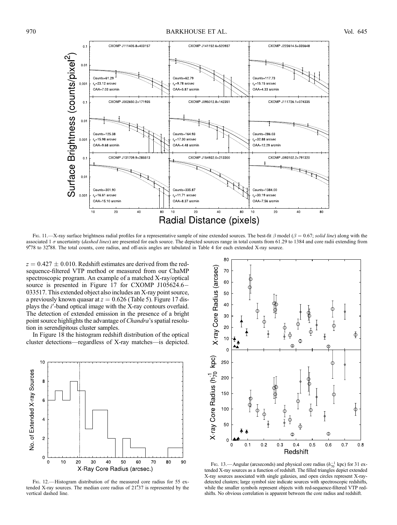

Fig. 11.—X-ray surface brightness radial profiles for a representative sample of nine extended sources. The best-fit  $\beta$  model ( $\beta = 0.67$ ; solid line) along with the associated 1  $\sigma$  uncertainty (dashed lines) are presented for each source. The depicted sources range in total counts from 61.29 to 1384 and core radii extending from 9778 to 32788. The total counts, core radius, and off-axis angles are tabulated in Table 4 for each extended X-ray source.

 $z = 0.427 \pm 0.010$ . Redshift estimates are derived from the redsequence-filtered VTP method or measured from our ChaMP spectroscopic program. An example of a matched X-ray/optical source is presented in Figure 17 for CXOMP J105624.6- 033517. This extended object also includes an X-ray point source, a previously known quasar at  $z = 0.626$  (Table 5). Figure 17 displays the  $i'$ -band optical image with the X-ray contours overlaid. The detection of extended emission in the presence of a bright point source highlights the advantage of Chandra's spatial resolution in serendipitous cluster samples.

In Figure 18 the histogram redshift distribution of the optical cluster detections—regardless of X-ray matches—is depicted.



Fig. 12.—Histogram distribution of the measured core radius for 55 extended X-ray sources. The median core radius of  $21\overset{''}{.}37$  is represented by the vertical dashed line.



FIG. 13.—Angular (arcseconds) and physical core radius  $(h_{70}^{-1} \text{ kpc})$  for 31 extended X-ray sources as a function of redshift. The filled triangles depict extended X-ray sources associated with single galaxies, and open circles represent X-raydetected clusters; large symbol size indicate sources with spectroscopic redshifts, while the smaller symbols represent objects with red-sequence-filtered VTP redshifts. No obvious correlation is apparent between the core radius and redshift.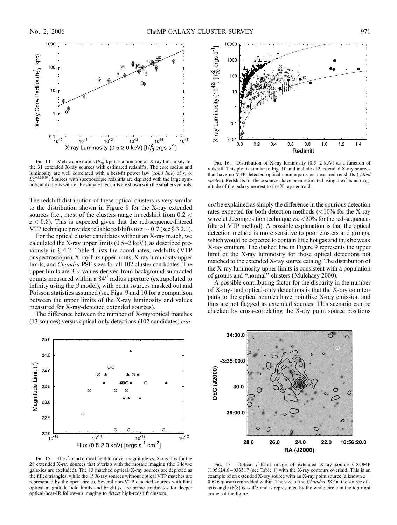

FIG. 14.—Metric core radius ( $h_{70}^{-1}$  kpc) as a function of X-ray luminosity for the 31 extended X-ray sources with estimated redshifts. The core radius and luminosity are well correlated with a best-fit power law (solid line) of  $r_c \propto$  $L_{\rm X}^{0.48\pm0.04}$ . Sources with spectroscopic redshifts are depicted with the large symbols, and objects with VTP estimated redshifts are shown with the smaller symbols.

The redshift distribution of these optical clusters is very similar to the distribution shown in Figure 8 for the X-ray extended sources (i.e., most of the clusters range in redshift from  $0.2 <$  $z < 0.8$ ). This is expected given that the red-sequence-filtered VTP technique provides reliable redshifts to  $z \sim 0.7$  (see § 3.2.1).

For the optical cluster candidates without an X-ray match, we calculated the X-ray upper limits  $(0.5-2 \text{ keV})$ , as described previously in  $\S$  4.2. Table 4 lists the coordinates, redshifts (VTP or spectroscopic), X-ray flux upper limits, X-ray luminosity upper limits, and Chandra PSF sizes for all 102 cluster candidates. The upper limits are 3  $\sigma$  values derived from background-subtracted counts measured within a 84" radius aperture (extrapolated to infinity using the  $\beta$  model), with point sources masked out and Poisson statistics assumed (see Figs. 9 and 10 for a comparison between the upper limits of the X-ray luminosity and values measured for X-ray-detected extended sources).

The difference between the number of X-ray/optical matches (13 sources) versus optical-only detections (102 candidates) can-



FIG. 15.—The i'-band optical field turnover magnitude vs. X-ray flux for the 28 extended X-ray sources that overlap with the mosaic imaging (the 6 low-z galaxies are excluded). The 13 matched optical/X-ray sources are depicted as the filled triangles, while the 15 X-ray sources without optical VTP matches are represented by the open circles. Several non-VTP detected sources with faint optical magnitude field limits and bright  $f_X$  are prime candidates for deeper optical/near-IR follow-up imaging to detect high-redshift clusters.



FIG. 16.—Distribution of X-ray luminosity (0.5–2 keV) as a function of redshift. This plot is similar to Fig. 10 and includes 12 extended X-ray sources that have no VTP-detected optical counterparts or measured redshifts (filled circles). Redshifts for these sources have been estimated using the i'-band magnitude of the galaxy nearest to the X-ray centroid.

not be explained as simply the difference in the spurious detection rates expected for both detection methods  $\left($ <10% for the X-ray wavelet decomposition technique vs. <20% for the red-sequencefiltered VTP method). A possible explanation is that the optical detection method is more sensitive to poor clusters and groups, which would be expected to contain little hot gas and thus be weak X-ray emitters. The dashed line in Figure 9 represents the upper limit of the X-ray luminosity for those optical detections not matched to the extended X-ray source catalog. The distribution of the X-ray luminosity upper limits is consistent with a population of groups and ''normal'' clusters (Mulchaey 2000).

A possible contributing factor for the disparity in the number of X-ray- and optical-only detections is that the X-ray counterparts to the optical sources have pointlike X-ray emission and thus are not flagged as extended sources. This scenario can be checked by cross-correlating the X-ray point source positions



FIG. 17.-- Optical i'-band image of extended X-ray source CXOMP J105624.6-033517 (see Table 1) with the X-ray contours overlaid. This is an example of an extended X-ray source with an X-ray point source (a known  $z =$ 0.626 quasar) embedded within. The size of the *Chandra* PSF at the source offaxis angle (8.8) is  $\sim$  4.5 and is represented by the white circle in the top right corner of the figure.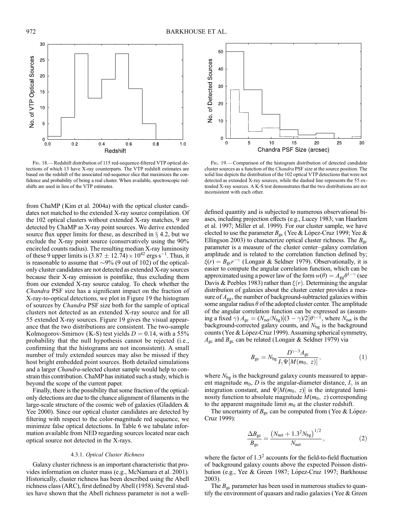

Fig. 18.—Redshift distribution of 115 red-sequence-filtered VTP optical detections of which 13 have X-ray counterparts. The VTP redshift estimates are based on the redshift of the associated red-sequence slice that maximizes the confidence and probability of being a real cluster. When available, spectroscopic redshifts are used in lieu of the VTP estimates.

from ChaMP (Kim et al. 2004a) with the optical cluster candidates not matched to the extended X-ray source compilation. Of the 102 optical clusters without extended X-ray matches, 9 are detected by ChaMP as X-ray point sources. We derive extended source flux upper limits for these, as described in  $\S$  4.2, but we exclude the X-ray point source (conservatively using the 90% encircled counts radius). The resulting median X-ray luminosity of these 9 upper limits is  $(3.87 \pm 12.74) \times 10^{42}$  ergs s<sup>-1</sup>. Thus, it is reasonable to assume that  $\sim 9\%$  (9 out of 102) of the opticalonly cluster candidates are not detected as extended X-ray sources because their X-ray emission is pointlike, thus excluding them from our extended X-ray source catalog. To check whether the Chandra PSF size has a significant impact on the fraction of X-ray-to-optical detections, we plot in Figure 19 the histogram of sources by Chandra PSF size both for the sample of optical clusters not detected as an extended X-ray source and for all 55 extended X-ray sources. Figure 19 gives the visual appearance that the two distributions are consistent. The two-sample Kolmogorov-Smirnov (K-S) test yields  $D = 0.14$ , with a 55% probability that the null hypothesis cannot be rejected (i.e., confirming that the histograms are not inconsistent). A small number of truly extended sources may also be missed if they host bright embedded point sources. Both detailed simulations and a larger *Chandra*-selected cluster sample would help to constrain this contribution. ChaMP has initiated such a study, which is beyond the scope of the current paper.

Finally, there is the possibility that some fraction of the opticalonly detections are due to the chance alignment of filaments in the large-scale structure of the cosmic web of galaxies (Gladders & Yee 2000). Since our optical cluster candidates are detected by filtering with respect to the color-magnitude red sequence, we minimize false optical detections. In Table 6 we tabulate information available from NED regarding sources located near each optical source not detected in the X-rays.

## 4.3.1. Optical Cluster Richness

Galaxy cluster richness is an important characteristic that provides information on cluster mass (e.g., McNamara et al. 2001). Historically, cluster richness has been described using the Abell richness class (ARC), first defined by Abell (1958). Several studies have shown that the Abell richness parameter is not a well-



Fig. 19.—Comparison of the histogram distribution of detected candidate cluster sources as a function of the Chandra PSF size at the source position. The solid line depicts the distribution of the 102 optical VTP detections that were not detected as extended X-ray sources, while the dashed line represents the 55 extended X-ray sources. A K-S test demonstrates that the two distributions are not inconsistent with each other.

defined quantity and is subjected to numerous observational biases, including projection effects (e.g., Lucey 1983; van Haarlem et al. 1997; Miller et al. 1999). For our cluster sample, we have elected to use the parameter  $B_{gc}$  (Yee & López-Cruz 1999; Yee & Ellingson 2003) to characterize optical cluster richness. The  $B_{\rm gc}$ parameter is a measure of the cluster center–galaxy correlation amplitude and is related to the correlation function defined by;  $\xi(r) = B_{gc}r^{-\gamma}$  (Longair & Seldner 1979). Observationally, it is easier to compute the angular correlation function, which can be approximated using a power law of the form  $w(\theta) = A_{gg} \theta^{1-\gamma}$  (see Davis & Peebles 1983) rather than  $\xi(r)$ . Determining the angular distribution of galaxies about the cluster center provides a measure of  $A_{gg}$ , the number of background-subtracted galaxies within some angular radius  $\theta$  of the adopted cluster center. The amplitude of the angular correlation function can be expressed as (assuming a fixed  $\gamma$ )  $A_{\rm gc} = (N_{\rm net}/N_{\rm bg})[(3 - \gamma)/2]\theta^{\gamma - 1}$ , where  $N_{\rm net}$  is the background-corrected galaxy counts, and  $N_{bg}$  is the background counts (Yee & López-Cruz 1999). Assuming spherical symmetry,  $A_{\rm gc}$  and  $B_{\rm gc}$  can be related (Longair & Seldner 1979) via

$$
B_{\rm gc} = N_{\rm bg} \frac{D^{\gamma - 3} A_{\rm gc}}{I_{\gamma} \Psi[M(m_0, z)]},
$$
 (1)

where  $N_{bg}$  is the background galaxy counts measured to apparent magnitude  $m_0$ , D is the angular-diameter distance,  $I_{\gamma}$  is an integration constant, and  $\Psi[M(m_0, z)]$  is the integrated luminosity function to absolute magnitude  $M(m_0, z)$  corresponding to the apparent magnitude limit  $m_0$  at the cluster redshift.

The uncertainty of  $B_{gc}$  can be computed from (Yee & López-Cruz 1999):

$$
\frac{\Delta B_{\rm gc}}{B_{\rm gc}} = \frac{(N_{\rm net} + 1.3^2 N_{\rm bg})^{1/2}}{N_{\rm net}},\tag{2}
$$

where the factor of  $1.3<sup>2</sup>$  accounts for the field-to-field fluctuation of background galaxy counts above the expected Poisson distribution (e.g., Yee & Green 1987; López-Cruz 1997; Barkhouse 2003).

The  $B_{\rm gc}$  parameter has been used in numerous studies to quantify the environment of quasars and radio galaxies (Yee & Green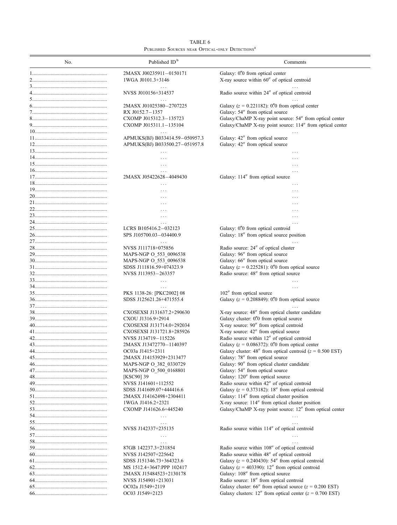|  | TABLE 6                                                     |  |
|--|-------------------------------------------------------------|--|
|  | PUBLISHED SOURCES NEAR OPTICAL-ONLY DETECTIONS <sup>a</sup> |  |

| No. | Published ID <sup>b</sup>                      | Comments                                                                                                                            |
|-----|------------------------------------------------|-------------------------------------------------------------------------------------------------------------------------------------|
|     | 2MASX J00235911-0150171                        | Galaxy: 0"0 from optical center                                                                                                     |
|     | 1WGA J0101.3+3146                              | X-ray source within 60" of optical centroid                                                                                         |
|     |                                                |                                                                                                                                     |
|     | NVSS J010156+314537                            | Radio source within 24" of optical centroid                                                                                         |
|     |                                                |                                                                                                                                     |
|     | 2MASX J01025380-2707225                        | Galaxy ( $z = 0.221182$ ): 0.70 from optical center                                                                                 |
|     | RX J0152.7-1357                                | Galaxy: 54" from optical source                                                                                                     |
|     | CXOMP J015312.3-135723                         | Galaxy/ChaMP X-ray point source: 54" from optical center                                                                            |
|     | CXOMP J015311.1-135104                         | Galaxy/ChaMP X-ray point source: 114" from optical center                                                                           |
|     | $\ddotsc$                                      |                                                                                                                                     |
|     | APMUKS(BJ) B033414.59-050957.3                 | Galaxy: 42" from optical source<br>Galaxy: 42" from optical source                                                                  |
|     | APMUKS(BJ) B033500.27-051957.8                 |                                                                                                                                     |
|     | $\ddotsc$                                      | .<br>.                                                                                                                              |
|     | $\cdots$                                       | .                                                                                                                                   |
|     | .                                              | .                                                                                                                                   |
|     | 2MASX J05422628-4049430                        | Galaxy: 114" from optical source                                                                                                    |
|     | $\cdots$                                       | .                                                                                                                                   |
|     | .                                              | .                                                                                                                                   |
|     | $\cdots$                                       | .                                                                                                                                   |
|     | .                                              | .                                                                                                                                   |
|     | .                                              | $\ldots$                                                                                                                            |
|     | $\cdots$                                       | .                                                                                                                                   |
|     | .                                              |                                                                                                                                     |
|     | LCRS B105416.2-032123                          | Galaxy: 0"0 from optical centroid                                                                                                   |
|     | SPS J105700.03-034400.9                        | Galaxy: 18" from optical source position                                                                                            |
|     | .<br>NVSS J111718+075856                       | Radio source: 24" of optical cluster                                                                                                |
|     | MAPS-NGP O_553_0096538                         | Galaxy: 96" from optical source                                                                                                     |
|     | MAPS-NGP O 553 0096538                         | Galaxy: 66" from optical source                                                                                                     |
|     | SDSS J111816.59+074323.9                       | Galaxy ( $z = 0.225281$ ): 0. from optical source                                                                                   |
|     | NVSS J113953-263357                            | Radio source: 48" from optical source                                                                                               |
|     |                                                |                                                                                                                                     |
|     |                                                | $\cdots$                                                                                                                            |
|     | PKS 1138-26: [PKC2002] 08                      | 102" from optical source                                                                                                            |
|     | SDSS J125621.26+471555.4                       | Galaxy ( $z = 0.208849$ ): 0. from optical source                                                                                   |
|     |                                                |                                                                                                                                     |
|     | CXOSEXSI J131637.2+290630<br>CXOU J1316.9+2914 | X-ray source: 48" from optical cluster candidate<br>Galaxy cluster: 0"0 from optical source                                         |
|     | CXOSEXSI J131714.0+292034                      | X-ray source: 90" from optical centroid                                                                                             |
|     | CXOSEXSI J131721.8+285926                      | X-ray source: 42" from optical source                                                                                               |
|     | NVSS J134719-115226                            | Radio source within 12" of optical centroid                                                                                         |
|     | 2MASX J13472770-1140397                        | Galaxy ( $z = 0.086372$ ): 0.70 from optical center                                                                                 |
|     | OC03a J1415+2311                               | Galaxy cluster: 48" from optical centroid ( $z = 0.500$ EST)                                                                        |
|     | 2MASX J14153929+2313477                        | Galaxy: 78" from optical source                                                                                                     |
|     | MAPS-NGP O_382_0330729                         | Galaxy: 90" from optical cluster candidate                                                                                          |
|     | MAPS-NGP O 500 0168801                         | Galaxy: 54" from optical source                                                                                                     |
|     | [KSC90] 39                                     | Galaxy: 120" from optical source                                                                                                    |
|     | NVSS J141601+112552                            | Radio source within 42" of optical centroid                                                                                         |
|     | SDSS J141609.07+444416.6                       | Galaxy ( $z = 0.373182$ ): 18" from optical centroid                                                                                |
|     | 2MASX J14162498+2304411                        | Galaxy: 114" from optical cluster position                                                                                          |
|     | 1WGA J1416.2+2321<br>CXOMP J141626.6+445240    | X-ray source: 114" from optical cluster position<br>Galaxy/ChaMP X-ray point source: 12" from optical center                        |
|     |                                                | $\cdots$                                                                                                                            |
|     | $\ldots$<br>$\ldots$                           |                                                                                                                                     |
|     | NVSS J142337+235135                            | Radio source within 114" of optical centroid                                                                                        |
|     | $\ldots$                                       |                                                                                                                                     |
|     | $\ddots$                                       |                                                                                                                                     |
|     | 87GB 142237.3+231854                           | Radio source within 108" of optical centroid                                                                                        |
|     | NVSS J142507+225642                            | Radio source within 48" of optical centroid                                                                                         |
|     | SDSS J151346.73+364323.6                       | Galaxy ( $z = 0.240430$ ): 54" from optical centroid                                                                                |
|     | MS 1512.4+3647:PPP 102417                      | Galaxy ( $z = 403390$ ): 12" from optical centroid                                                                                  |
|     | 2MASX J15484523+2130178                        | Galaxy: 108" from optical source                                                                                                    |
|     | NVSS J154901+213031                            | Radio source: 18" from optical centroid                                                                                             |
|     | OC02a J1549+2119                               | Galaxy cluster: 66" from optical source $(z = 0.200 \text{ EST})$<br>Galaxy clusters: $12''$ from optical center ( $z = 0.700$ EST) |
|     | OC03 J1549+2123                                |                                                                                                                                     |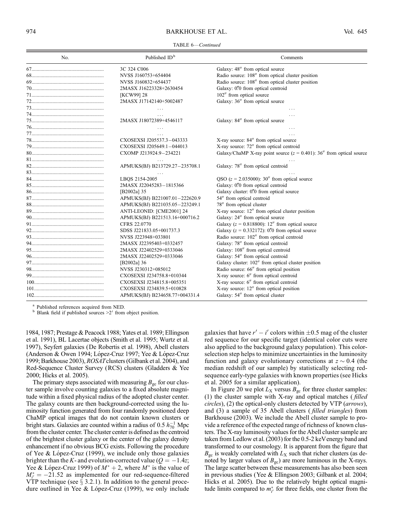## 974 BARKHOUSE ET AL. Vol. 645

| No. | Published ID <sup>b</sup>      | Comments                                                                |
|-----|--------------------------------|-------------------------------------------------------------------------|
|     | 3C 324 C006                    | Galaxy: 48" from optical source                                         |
|     | NVSS J160753+654404            | Radio source: 108" from optical cluster position                        |
|     | NVSS J160832+654437            | Radio source: 108" from optical cluster position                        |
|     | 2MASX J16223328+2630454        | Galaxy: 0"0 from optical centroid                                       |
|     | [KCW99] 28                     | 102" from optical source                                                |
|     | 2MASX J17142140+5002487        | Galaxy: 36" from optical source                                         |
|     | $\cdots$                       |                                                                         |
|     | .                              |                                                                         |
|     | 2MASX J18072389+4546117        | Galaxy: 84" from optical source                                         |
|     | $\cdots$                       |                                                                         |
|     |                                |                                                                         |
|     | CXOSEXSI J205537.3-043333      | X-ray source: 84" from optical source                                   |
|     | CXOSEXSI J205649.1-044013      | X-ray source: 72" from optical centroid                                 |
|     | CXOMP J213924.9-234221         | Galaxy/ChaMP X-ray point source $(z = 0.401)$ : 36" from optical source |
|     |                                |                                                                         |
|     | APMUKS(BJ) B213729.27-235708.1 | Galaxy: 78" from optical centroid                                       |
|     |                                |                                                                         |
|     | LBQS 2154-2005                 | QSO $(z = 2.035000)$ : 30" from optical source                          |
|     | 2MASX J22045283-1815366        | Galaxy: 0"0 from optical centroid                                       |
|     | [B2002a] 35                    | Galaxy cluster: 0."0 from optical source                                |
|     | APMUKS(BJ) B221007.01-222620.9 | 54" from optical centroid                                               |
|     | APMUKS(BJ) B221035.05-223249.1 | 78" from optical cluster                                                |
|     | ANTI-LEONID: [CME2001] 24      | X-ray source: 12" from optical cluster position                         |
|     | APMUKS(BJ) B221513.16+000716.2 | Galaxy: 24" from optical source                                         |
|     | CFRS 22.0770                   | Galaxy ( $z = 0.818800$ ): 12" from optical source                      |
|     | SDSS J221833.05+001737.3       | Galaxy ( $z = 0.332172$ ): 0.70 from optical source                     |
|     | NVSS J223948+033801            | Radio source: 102" from optical centroid                                |
|     | 2MASX J22395403+0332457        | Galaxy: 78" from optical centroid                                       |
|     | 2MASX J22402529+0333046        | Galaxy: 108" from optical centroid                                      |
|     | 2MASX J22402529+0333046        | Galaxy: 54" from optical centroid                                       |
|     | [B2002a] 36                    | Galaxy cluster: 102" from optical cluster position                      |
|     | NVSS J230312+085012            | Radio source: 66" from optical position                                 |
|     | CXOSEXSI J234758.8+010344      | X-ray source: 6" from optical centroid                                  |
|     | CXOSEXSI J234815.8+005351      | X-ray source: 6" from optical centroid                                  |
|     | CXOSEXSI J234839.5+010828      | X-ray source: 12" from optical position                                 |
|     | APMUKS(BJ) B234658.77+004331.4 | Galaxy: 54" from optical cluster                                        |

<sup>a</sup> Published references acquired from NED.<br><sup>b</sup> Blank field if published sources  $>2'$  from object position.

1984, 1987; Prestage & Peacock 1988; Yates et al. 1989; Ellingson et al. 1991), BL Lacertae objects (Smith et al. 1995; Wurtz et al. 1997), Seyfert galaxies (De Robertis et al. 1998), Abell clusters (Anderson & Owen 1994; López-Cruz 1997; Yee & López-Cruz 1999; Barkhouse 2003), ROSATclusters (Gilbank et al. 2004), and Red-Sequence Cluster Survey (RCS) clusters (Gladders & Yee 2000; Hicks et al. 2005).

The primary steps associated with measuring  $B_{\rm gc}$  for our cluster sample involve counting galaxies to a fixed absolute magnitude within a fixed physical radius of the adopted cluster center. The galaxy counts are then background-corrected using the luminosity function generated from four randomly positioned deep ChaMP optical images that do not contain known clusters or bright stars. Galaxies are counted within a radius of 0.5  $h_{70}^{-1}$  Mpc from the cluster center. The cluster center is defined as the centroid of the brightest cluster galaxy or the center of the galaxy density enhancement if no obvious BCG exists. Following the procedure of Yee & López-Cruz (1999), we include only those galaxies brighter than the K- and evolution-corrected value ( $Q = -1.4z$ ; Yee & López-Cruz 1999) of  $M^* + 2$ , where  $M^*$  is the value of  $M_{i'}^* = -21.52$  as implemented for our red-sequence-filtered VTP technique (see  $\S$  3.2.1). In addition to the general procedure outlined in Yee & López-Cruz (1999), we only include

galaxies that have  $r' - i'$  colors within  $\pm 0.5$  mag of the cluster red sequence for our specific target (identical color cuts were also applied to the background galaxy population). This colorselection step helps to minimize uncertainties in the luminosity function and galaxy evolutionary corrections at  $z \sim 0.4$  (the median redshift of our sample) by statistically selecting redsequence early-type galaxies with known properties (see Hicks et al. 2005 for a similar application).

In Figure 20 we plot  $L_X$  versus  $B_{gc}$  for three cluster samples: (1) the cluster sample with X-ray and optical matches ( filled circles), (2) the optical-only clusters detected by VTP (arrows), and (3) a sample of 35 Abell clusters ( filled triangles) from Barkhouse (2003). We include the Abell cluster sample to provide a reference of the expected range of richness of known clusters. The X-ray luminosity values for the Abell cluster sample are taken from Ledlow et al. (2003) for the 0.5-2 keVenergy band and transformed to our cosmology. It is apparent from the figure that  $B_{\rm gc}$  is weakly correlated with  $L_{\rm X}$  such that richer clusters (as denoted by larger values of  $B_{\rm gc}$ ) are more luminous in the X-rays. The large scatter between these measurements has also been seen in previous studies (Yee & Ellingson 2003; Gilbank et al. 2004; Hicks et al. 2005). Due to the relatively bright optical magnitude limits compared to  $m_{i'}^*$  for three fields, one cluster from the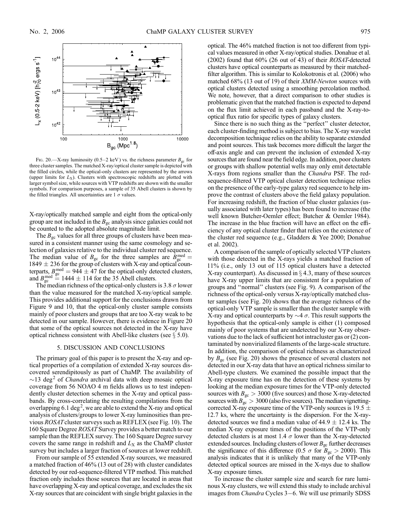

FIG. 20.—X-ray luminosity (0.5–2 keV) vs. the richness parameter  $B_{\rm gc}$  for three cluster samples. The matched X-ray/optical cluster sample is depicted with the filled circles, while the optical-only clusters are represented by the arrows (upper limits for  $L_X$ ). Clusters with spectroscopic redshifts are plotted with larger symbol size, while sources with VTP redshifts are shown with the smaller symbols. For comparison purposes, a sample of 35 Abell clusters is shown by the filled triangles. All uncertainties are  $1 \sigma$  values.

X-ray/optically matched sample and eight from the optical-only group are not included in the  $B_{gc}$  analysis since galaxies could not be counted to the adopted absolute magnitude limit.

The  $B_{gc}$  values for all three groups of clusters have been measured in a consistent manner using the same cosmology and selection of galaxies relative to the individual cluster red sequence. The median value of  $B_{gc}$  for the three samples are  $B_{gc}^{med} =$  $1849 \pm 236$  for the group of clusters with X-ray and optical counterparts,  $B_{\text{gc}}^{\text{med}} = 944 \pm 47$  for the optical-only detected clusters, and  $B_{\text{gc}}^{\text{med}} = 1444 \pm 114$  for the 35 Abell clusters.

The median richness of the optical-only clusters is 3.8  $\sigma$  lower than the value measured for the matched X-ray/optical sample. This provides additional support for the conclusions drawn from Figure 9 and 10, that the optical-only cluster sample consists mainly of poor clusters and groups that are too X-ray weak to be detected in our sample. However, there is evidence in Figure 20 that some of the optical sources not detected in the X-ray have optical richness consistent with Abell-like clusters (see  $\S$  5.0).

#### 5. DISCUSSION AND CONCLUSIONS

The primary goal of this paper is to present the X-ray and optical properties of a compilation of extended X-ray sources discovered serendipitously as part of ChaMP. The availability of  $\sim$ 13 deg<sup>2</sup> of *Chandra* archival data with deep mosaic optical coverage from 56 NOAO 4 m fields allows us to test independently cluster detection schemes in the X-ray and optical passbands. By cross-correlating the resulting compilations from the overlapping 6.1 deg<sup>2</sup>, we are able to extend the X-ray and optical analysis of clusters/groups to lower X-ray luminosities than previous ROSATcluster surveys such as REFLEX (see Fig. 10). The 160 Square Degree ROSAT Survey provides a better match to our sample than the REFLEX survey. The 160 Square Degree survey covers the same range in redshift and  $L_X$  as the ChaMP cluster survey but includes a larger fraction of sources at lower redshift.

From our sample of 55 extended X-ray sources, we measured a matched fraction of 46% (13 out of 28) with cluster candidates detected by our red-sequence-filtered VTP method. This matched fraction only includes those sources that are located in areas that have overlapping X-ray and optical coverage, and excludes the six X-ray sources that are coincident with single bright galaxies in the optical. The 46% matched fraction is not too different from typical values measured in other X-ray/optical studies. Donahue et al. (2002) found that 60% (26 out of 43) of their ROSAT-detected clusters have optical counterparts as measured by their matchedfilter algorithm. This is similar to Kolokotronis et al. (2006) who matched 68% (13 out of 19) of their XMM-Newton sources with optical clusters detected using a smoothing percolation method. We note, however, that a direct comparison to other studies is problematic given that the matched fraction is expected to depend on the flux limit achieved in each passband and the X-ray-tooptical flux ratio for specific types of galaxy clusters.

Since there is no such thing as the ''perfect'' cluster detector, each cluster-finding method is subject to bias. The X-ray wavelet decomposition technique relies on the ability to separate extended and point sources. This task becomes more difficult the larger the off-axis angle and can prevent the inclusion of extended X-ray sources that are found near the field edge. In addition, poor clusters or groups with shallow potential wells may only emit detectable X-rays from regions smaller than the Chandra PSF. The redsequence-filtered VTP optical cluster detection technique relies on the presence of the early-type galaxy red sequence to help improve the contrast of clusters above the field galaxy population. For increasing redshift, the fraction of blue cluster galaxies (usually associated with later types) has been found to increase (the well known Butcher-Oemler effect; Butcher & Oemler 1984). The increase in the blue fraction will have an effect on the efficiency of any optical cluster finder that relies on the existence of the cluster red sequence (e.g., Gladders & Yee 2000; Donahue et al. 2002).

A comparison of the sample of optically selected VTP clusters with those detected in the X-rays yields a matched fraction of 11% (i.e., only 13 out of 115 optical clusters have a detected X-ray counterpart). As discussed in  $\S$  4.3, many of these sources have X-ray upper limits that are consistent for a population of groups and ''normal'' clusters (see Fig. 9). A comparison of the richness of the optical-only versus X-ray/optically matched cluster samples (see Fig. 20) shows that the average richness of the optical-only VTP sample is smaller than the cluster sample with X-ray and optical counterparts by  $\sim$ 4  $\sigma$ . This result supports the hypothesis that the optical-only sample is either (1) composed mainly of poor systems that are undetected by our X-ray observations due to the lack of sufficient hot intracluster gas or (2) contaminated by nonvirialized filaments of the large-scale structure. In addition, the comparison of optical richness as characterized by  $B_{\rm gc}$  (see Fig. 20) shows the presence of several clusters not detected in our X-ray data that have an optical richness similar to Abell-type clusters. We examined the possible impact that the X-ray exposure time has on the detection of these systems by looking at the median exposure times for the VTP-only detected sources with  $B_{gc} > 3000$  (five sources) and those X-ray-detected sources with  $B_{gc} > 3000$  (also five sources). The median vignettingcorrected X-ray exposure time of the VTP-only sources is 19.5  $\pm$ 12:7 ks, where the uncertainty is the dispersion. For the X-raydetected sources we find a median value of  $44.9 \pm 12.4$  ks. The median X-ray exposure times of the positions of the VTP-only detected clusters is at most 1.4  $\sigma$  lower than the X-ray-detected extended sources. Including clusters of lower  $B_{gc}$  further decreases the significance of this difference (0.5  $\sigma$  for  $B_{\rm gc} > 2000$ ). This analysis indicates that it is unlikely that many of the VTP-only detected optical sources are missed in the X-rays due to shallow X-ray exposure times.

To increase the cluster sample size and search for rare luminous X-ray clusters, we will extend this study to include archival images from Chandra Cycles 3-6. We will use primarily SDSS